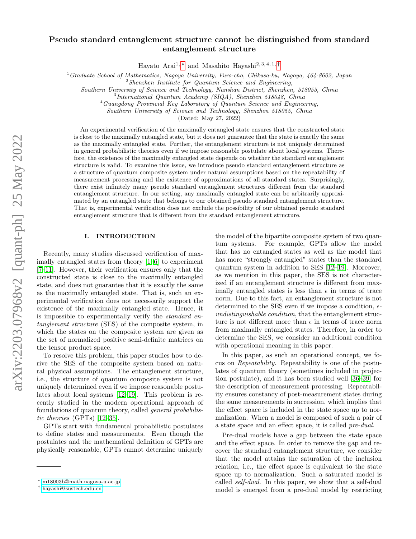# Pseudo standard entanglement structure cannot be distinguished from standard entanglement structure

Hayato Arai<sup>1,\*</sup> and Masahito Hayashi<sup>2, 3, 4, 1, [†](#page-0-1)</sup>

 $1$ Graduate School of Mathematics, Nagoya University, Furo-cho, Chikusa-ku, Nagoya, 464-8602, Japan

 $2$ Shenzhen Institute for Quantum Science and Engineering,

Southern University of Science and Technology, Nanshan District, Shenzhen, 518055, China

<sup>4</sup>Guangdong Provincial Key Laboratory of Quantum Science and Engineering,

Southern University of Science and Technology, Shenzhen 518055, China

(Dated: May 27, 2022)

An experimental verification of the maximally entangled state ensures that the constructed state is close to the maximally entangled state, but it does not guarantee that the state is exactly the same as the maximally entangled state. Further, the entanglement structure is not uniquely determined in general probabilistic theories even if we impose reasonable postulate about local systems. Therefore, the existence of the maximally entangled state depends on whether the standard entanglement structure is valid. To examine this issue, we introduce pseudo standard entanglement structure as a structure of quantum composite system under natural assumptions based on the repeatability of measurement processing and the existence of approximations of all standard states. Surprisingly, there exist infinitely many pseudo standard entanglement structures different from the standard entanglement structure. In our setting, any maximally entangled state can be arbitrarily approximated by an entangled state that belongs to our obtained pseudo standard entanglement structure. That is, experimental verification does not exclude the possibility of our obtained pseudo standard entanglement structure that is different from the standard entanglement structure.

## I. INTRODUCTION

Recently, many studies discussed verification of maximally entangled states from theory [\[1–](#page-9-0)[6\]](#page-9-1) to experiment [\[7–](#page-9-2)[11\]](#page-9-3). However, their verification ensures only that the constructed state is close to the maximally entangled state, and does not guarantee that it is exactly the same as the maximally entangled state. That is, such an experimental verification does not necessarily support the existence of the maximally entangled state. Hence, it is impossible to experimentally verify the *standard* entanglement structure (SES) of the composite system, in which the states on the composite system are given as the set of normalized positive semi-definite matrices on the tensor product space.

To resolve this problem, this paper studies how to derive the SES of the composite system based on natural physical assumptions. The entanglement structure, i.e., the structure of quantum composite system is not uniquely determined even if we impose reasonable postulates about local systems [\[12–](#page-9-4)[19\]](#page-9-5). This problem is recently studied in the modern operational approach of foundations of quantum theory, called general probabilistic theories (GPTs) [\[12–](#page-9-4)[35\]](#page-10-0).

GPTs start with fundamental probabilistic postulates to define states and measurements. Even though the postulates and the mathematical definition of GPTs are physically reasonable, GPTs cannot determine uniquely

the model of the bipartite composite system of two quantum systems. For example, GPTs allow the model that has no entangled states as well as the model that has more "strongly entangled" states than the standard quantum system in addition to SES [\[12](#page-9-4)[–19\]](#page-9-5). Moreover, as we mention in this paper, the SES is not characterized if an entanglement structure is different from maximally entangled states is less than  $\epsilon$  in terms of trace norm. Due to this fact, an entanglement structure is not determined to the SES even if we impose a condition,  $\epsilon$ undistinguishable condition, that the entanglement structure is not different more than  $\epsilon$  in terms of trace norm from maximally entangled states. Therefore, in order to determine the SES, we consider an additional condition with operational meaning in this paper.

In this paper, as such an operational concept, we focus on Repeatability. Repeatability is one of the postulates of quantum theory (sometimes included in projection postulate), and it has been studied well [\[36–](#page-10-1)[39\]](#page-10-2) for the description of measurement processing. Repeatability ensures constancy of post-measurement states during the same measurements in succession, which implies that the effect space is included in the state space up to normalization. When a model is composed of such a pair of a state space and an effect space, it is called pre-dual.

Pre-dual models have a gap between the state space and the effect space. In order to remove the gap and recover the standard entanglement structure, we consider that the model attains the saturation of the inclusion relation, i.e., the effect space is equivalent to the state space up to normalization. Such a saturated model is called self-dual. In this paper, we show that a self-dual model is emerged from a pre-dual model by restricting

<sup>3</sup> International Quantum Academy (SIQA), Shenzhen 518048, China

<span id="page-0-0"></span><sup>∗</sup> [m18003b@math.nagoya-u.ac.jp](mailto:m18003b@math.nagoya-u.ac.jp)

<span id="page-0-1"></span><sup>†</sup> [hayashi@sustech.edu.cn](mailto:hayashi@sustech.edu.cn)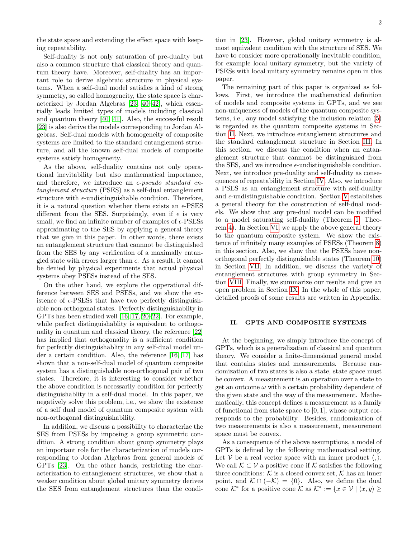the state space and extending the effect space with keeping repeatability.

Self-duality is not only saturation of pre-duality but also a common structure that classical theory and quantum theory have. Moreover, self-duality has an important role to derive algebraic structure in physical systems. When a self-dual model satisfies a kind of strong symmetry, so called homogeneity, the state space is characterized by Jordan Algebras [\[23,](#page-9-6) [40–](#page-10-3)[42\]](#page-10-4), which essentially leads limited types of models including classical and quantum theory [\[40,](#page-10-3) [41\]](#page-10-5). Also, the successful result [\[23\]](#page-9-6) is also derive the models corresponding to Jordan Algebras. Self-dual models with homogeneity of composite systems are limited to the standard entanglement structure, and all the known self-dual models of composite systems satisfy homogeneity.

As the above, self-duality contains not only operational inevitability but also mathematical importance, and therefore, we introduce an  $\epsilon$ -pseudo standard entanglement structure (PSES) as a self-dual entanglement structure with  $\epsilon$ -undistinguishable condition. Therefore, it is a natural question whether there exists an  $\epsilon$ -PSES different from the SES. Surprisingly, even if  $\epsilon$  is very small, we find an infinite number of examples of  $\epsilon$ -PSESs approximating to the SES by applying a general theory that we give in this paper. In other words, there exists an entanglement structure that cannnot be distinguished from the SES by any verification of a maximally entangled state with errors larger than  $\epsilon$ . As a result, it cannot be denied by physical experiments that actual physical systems obey PSESs instead of the SES.

On the other hand, we explore the opperational difference between SES and PSESs, and we show the existence of  $\epsilon$ -PSESs that have two perfectly distinguishable non-orthogonal states. Perfectly distinguishablity in GPTs has been studied well [\[16,](#page-9-7) [17,](#page-9-8) [20–](#page-9-9)[22\]](#page-9-10). For example, while perfect distinguishablity is equivalent to orthogonality in quantum and classical theory, the reference [\[22\]](#page-9-10) has implied that orthogonality is a sufficient condition for perfectly distinguishablity in any self-dual model under a certain condition. Also, the reference [\[16,](#page-9-7) [17\]](#page-9-8) has shown that a non-self-dual model of quantum composite system has a distinguishable non-orthogonal pair of two states. Therefore, it is interesting to consider whether the above condition is necessarily condition for perfectly distinguishablity in a self-dual model. In this paper, we negatively solve this problem, i.e., we show the existence of a self dual model of quantum composite system with non-orthogonal distinguishability.

In addition, we discuss a possibility to characterize the SES from PSESs by imposing a group symmetric condition. A strong condition about group symmetry plays an important role for the characterization of models corresponding to Jordan Algebras from general models of GPTs [\[23\]](#page-9-6). On the other hands, restricting the characterization to entanglement structures, we show that a weaker condition about global unitary symmetry derives the SES from entanglement structures than the condition in [\[23\]](#page-9-6). However, global unitary symmetry is almost equivalent condition with the structure of SES. We have to consider more operationally inevitable condition, for example local unitary symmetry, but the variety of PSESs with local unitary symmetry remains open in this paper.

The remaining part of this paper is organized as follows. First, we introduce the mathematical definition of models and composite systems in GPTs, and we see non-uniqueness of models of the quantum composite systems, i.e., any model satisfying the inclusion relation [\(5\)](#page-3-0) is regarded as the quantum composite systems in Section [II.](#page-1-0) Next, we introduce entanglement structures and the standard entanglement structure in Section [III.](#page-3-1) In this section, we discuss the condition when an entanglement structure that cannnot be distinguished from the SES, and we introduce  $\epsilon$ -undistinguishable condition. Next, we introduce pre-duality and self-duality as consequences of repeatability in Section [IV.](#page-3-2) Also, we introduce a PSES as an entanglement structure with self-duality and  $\epsilon\text{-undistinguishable condition. Section V establishes}$  $\epsilon\text{-undistinguishable condition. Section V establishes}$  $\epsilon\text{-undistinguishable condition. Section V establishes}$ a general theory for the construction of self-dual models. We show that any pre-dual model can be modified to a model saturating self-duality (Theorem [1,](#page-4-1) Theorem [4\)](#page-5-0). In Section [VI,](#page-5-1) we apply the above general theory to the quantum composite system. We show the existence of infinitely many examples of PSESs (Theorem [8\)](#page-5-2) in this section. Also, we show that the PSESs have nonorthogonal perfectly distinguishable states (Theorem [10\)](#page-7-0) in Section [VII.](#page-6-0) In addition, we discuss the variety of entanglement structures with group symmetry in Section [VIII.](#page-7-1) Finally, we summarize our results and give an open problem in Section [IX.](#page-8-0) In the whole of this paper, detailed proofs of some results are written in Appendix.

## <span id="page-1-0"></span>II. GPTS AND COMPOSITE SYSTEMS

At the beginning, we simply introduce the concept of GPTs, which is a generalization of classical and quantum theory. We consider a finite-dimensional general model that contains states and measurements. Because randomization of two states is also a state, state space must be convex. A measurement is an operation over a state to get an outcome  $\omega$  with a certain probability dependent of the given state and the way of the measurement. Mathematically, this concept defines a measurement as a family of functional from state space to  $[0, 1]$ , whose output corresponds to the probability. Besides, randomization of two measurements is also a measurement, measurement space must be convex.

As a consequence of the above assumptions, a model of GPTs is defined by the following mathematical setting. Let V be a real vector space with an inner product  $\langle , \rangle$ . We call  $\mathcal{K} \subset \mathcal{V}$  a positive cone if K satisfies the following three conditions:  $K$  is a closed convex set,  $K$  has an inner point, and  $\mathcal{K} \cap (-\mathcal{K}) = \{0\}$ . Also, we define the dual cone  $\mathcal{K}^*$  for a positive cone  $\mathcal{K}$  as  $\mathcal{K}^* := \{x \in \mathcal{V} \mid \langle x, y \rangle \geq 0\}$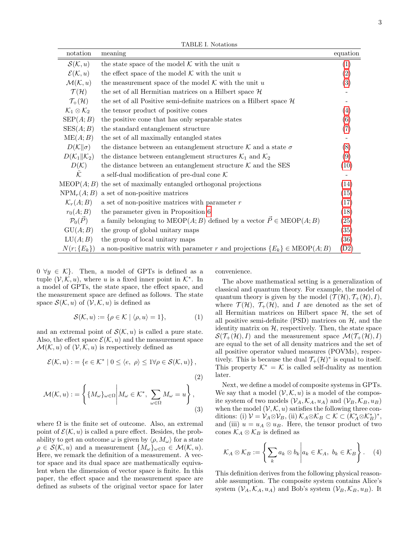TABLE I. Notations

| notation                            | meaning                                                                                                  | equation           |
|-------------------------------------|----------------------------------------------------------------------------------------------------------|--------------------|
| $\mathcal{S}(\mathcal{K},u)$        | the state space of the model $K$ with the unit u                                                         | $\left( 1\right)$  |
| $\mathcal{E}(\mathcal{K}, u)$       | the effect space of the model $K$ with the unit u                                                        | $\left( 2\right)$  |
| $\mathcal{M}(\mathcal{K}, u)$       | the measurement space of the model $K$ with the unit u                                                   | (3)                |
| $\mathcal{T}(\mathcal{H})$          | the set of all Hermitian matrices on a Hilbert space $\mathcal H$                                        |                    |
| $\mathcal{T}_{+}(\mathcal{H})$      | the set of all Positive semi-definite matrices on a Hilbert space $\mathcal H$                           |                    |
| $\mathcal{K}_1\otimes\mathcal{K}_2$ | the tensor product of positive cones                                                                     | (4)                |
| $\text{SEP}(A;B)$                   | the positive cone that has only separable states                                                         | (6)                |
| SES(A;B)                            | the standard entanglement structure                                                                      | (7)                |
| ME(A; B)                            | the set of all maximally entangled states                                                                |                    |
| $D(K  \sigma)$                      | the distance between an entanglement structure $K$ and a state $\sigma$                                  | (8)                |
| $D(\mathcal{K}_1    \mathcal{K}_2)$ | the distance between entanglement structures $\mathcal{K}_1$ and $\mathcal{K}_2$                         | (9)                |
| $D(\mathcal{K})$                    | the distance between an entanglement structure $K$ and the SES                                           | (10)               |
| $\tilde{\mathcal{K}}$               | a self-dual modification of pre-dual cone ${\mathcal K}$                                                 |                    |
| MEDP(A;B)                           | the set of maximally entangled orthogonal projections                                                    | (14)               |
| $NPM_r(A; B)$                       | a set of non-positive matrices                                                                           | (15)               |
| $\mathcal{K}_r(A;B)$                | a set of non-positive matrices with parameter $r$                                                        | (17)               |
| $r_0(A;B)$                          | the parameter given in Proposition 6                                                                     | (18)               |
| $\mathcal{P}_0(\vec{P})$            | a family belonging to $\text{MEOP}(A; B)$ defined by a vector $\overrightarrow{P} \in \text{MEOP}(A; B)$ | (25)               |
| GU(A;B)                             | the group of global unitary maps                                                                         | $\left( 35\right)$ |
| LU(A;B)                             | the group of local unitary maps                                                                          | (36)               |
| $N(r;\{E_k\})$                      | a non-positive matrix with parameter r and projections $\{E_k\} \in \text{MEOP}(A;B)$                    | (D2)               |

 $0 \ \forall y \in \mathcal{K}$ . Then, a model of GPTs is defined as a tuple  $(V, \mathcal{K}, u)$ , where u is a fixed inner point in  $\mathcal{K}^*$ . In a model of GPTs, the state space, the effect space, and the measurement space are defined as follows. The state space  $\mathcal{S}(\mathcal{K}, u)$  of  $(\mathcal{V}, \mathcal{K}, u)$  is defined as

$$
\mathcal{S}(\mathcal{K}, u) := \{ \rho \in \mathcal{K} \mid \langle \rho, u \rangle = 1 \},\tag{1}
$$

and an extremal point of  $\mathcal{S}(\mathcal{K}, u)$  is called a pure state. Also, the effect space  $\mathcal{E}(\mathcal{K}, u)$  and the measurement space  $\mathcal{M}(\mathcal{K}, u)$  of  $(\mathcal{V}, \mathcal{K}, u)$  is respectively defined as

$$
\mathcal{E}(\mathcal{K}, u) := \{ e \in \mathcal{K}^* \mid 0 \le \langle e, \rho \rangle \le 1 \forall \rho \in \mathcal{S}(\mathcal{K}, u) \},
$$
\n(2)

$$
\mathcal{M}(\mathcal{K}, u) := \left\{ \{ M_{\omega} \}_{\omega \in \Omega} \middle| M_{\omega} \in \mathcal{K}^*, \sum_{\omega \in \Omega} M_{\omega} = u \right\},\tag{3}
$$

where  $\Omega$  is the finite set of outcome. Also, an extremal point of  $\mathcal{E}(\mathcal{K}, u)$  is called a pure effect. Besides, the probability to get an outcome  $\omega$  is given by  $\langle \rho, M_{\omega} \rangle$  for a state  $\rho \in \mathcal{S}(\mathcal{K}, u)$  and a measurement  $\{M_{\omega}\}_{\omega \in \Omega} \in \mathcal{M}(\mathcal{K}, u)$ . Here, we remark the definition of a measurement. A vector space and its dual space are mathematically equivalent when the dimension of vector space is finite. In this paper, the effect space and the measurement space are defined as subsets of the original vector space for later convenience.

<span id="page-2-0"></span>The above mathematical setting is a generalization of classical and quantum theory. For example, the model of quantum theory is given by the model  $(\mathcal{T}(\mathcal{H}), \mathcal{T}_{+}(\mathcal{H}), I)$ , where  $\mathcal{T}(\mathcal{H})$ ,  $\mathcal{T}_{+}(\mathcal{H})$ , and I are denoted as the set of all Hermitian matrices on Hilbert space  $H$ , the set of all positive semi-definite (PSD) matrices on  $H$ , and the identity matrix on  $H$ , respectively. Then, the state space  $\mathcal{S}(\mathcal{T}_{+}(\mathcal{H}), I)$  and the measurement space  $\mathcal{M}(\mathcal{T}_{+}(\mathcal{H}), I)$ are equal to the set of all density matrices and the set of all positive operator valued measures (POVMs), respectively. This is because the dual  $\mathcal{T}_+(\mathcal{H})^*$  is equal to itself. This property  $\mathcal{K}^* = \mathcal{K}$  is called self-duality as mention later.

<span id="page-2-2"></span><span id="page-2-1"></span>Next, we define a model of composite systems in GPTs. We say that a model  $(V, K, u)$  is a model of the composite system of two models  $(\mathcal{V}_A, \mathcal{K}_A, u_A)$  and  $(\mathcal{V}_B, \mathcal{K}_B, u_B)$ when the model  $(V, K, u)$  satisfies the following three conditions: (i)  $V = V_A \otimes V_B$ , (ii)  $K_A \otimes K_B \subset K \subset (K_A^* \otimes K_B^*)^*$ , and (iii)  $u = u_A \otimes u_B$ . Here, the tensor product of two cones  $\mathcal{K}_A \otimes \mathcal{K}_B$  is defined as

<span id="page-2-3"></span>
$$
\mathcal{K}_A \otimes \mathcal{K}_B := \left\{ \sum_k a_k \otimes b_k \, \middle| \, a_k \in \mathcal{K}_A, \ b_k \in \mathcal{K}_B \right\}. \tag{4}
$$

This definition derives from the following physical reasonable assumption. The composite system contains Alice's system  $(\mathcal{V}_A, \mathcal{K}_A, u_A)$  and Bob's system  $(\mathcal{V}_B, \mathcal{K}_B, u_B)$ . It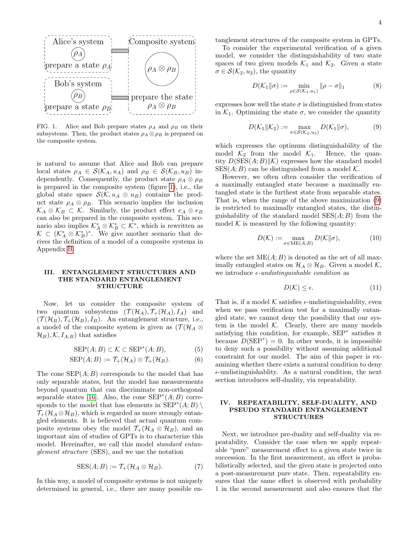

<span id="page-3-8"></span>FIG. 1. Alice and Bob prepare states  $\rho_A$  and  $\rho_B$  on their subsystems. Then, the product states  $\rho_A \otimes \rho_B$  is prepared on the composite system.

is natural to assume that Alice and Bob can prepare local states  $\rho_A \in \mathcal{S}(\mathcal{K}_A, u_A)$  and  $\rho_B \in \mathcal{S}(\mathcal{K}_B, u_B)$  independently. Consequently, the product state  $\rho_A \otimes \rho_B$ is prepared in the composite system (figure [1\)](#page-3-8), i.e., the global state space  $\mathcal{S}(\mathcal{K}, u_A \otimes u_B)$  contains the product state  $\rho_A \otimes \rho_B$ . This scenario implies the inclusion  $\mathcal{K}_A \otimes \mathcal{K}_B \subset \mathcal{K}$ . Similarly, the product effect  $e_A \otimes e_B$ can also be prepared in the composite system. This scenario also implies  $\mathcal{K}_A^* \otimes \mathcal{K}_B^* \subset \mathcal{K}^*$ , which is rewritten as  $\mathcal{K} \subset (\mathcal{K}_A^* \otimes \mathcal{K}_B^*)^*$ . We give another scenario that derives the definition of a model of a composite systems in Appendix [B.](#page-11-0)

## <span id="page-3-1"></span>III. ENTANGLEMENT STRUCTURES AND THE STANDARD ENTANGLEMENT STRUCTURE

Now, let us consider the composite system of two quantum subsystems  $(\mathcal{T}(\mathcal{H}_A), \mathcal{T}_+(\mathcal{H}_A), I_A)$  and  $(\mathcal{T}(\mathcal{H}_B), \mathcal{T}_+(\mathcal{H}_B), I_B)$ . An entanglement structure, i.e., a model of the composite system is given as  $({\cal T}({\cal H}_A \otimes$  $\mathcal{H}_B$ ,  $\mathcal{K}, I_{A;B}$  that satisfies

$$
SEP(A;B) \subset \mathcal{K} \subset SEP^*(A;B),\tag{5}
$$

$$
SEP(A;B) := \mathcal{T}_{+}(\mathcal{H}_{A}) \otimes \mathcal{T}_{+}(\mathcal{H}_{B}). \tag{6}
$$

The cone  $\text{SEP}(A;B)$  corresponds to the model that has only separable states, but the model has measurements beyond quantum that can discriminate non-orthogonal separable states [\[16\]](#page-9-7). Also, the cone  $\text{SEP}^*(A;B)$  corresponds to the model that has elements in  $\operatorname{SEP}^*(A;B) \setminus$  $\mathcal{T}_{+}(\mathcal{H}_{A} \otimes \mathcal{H}_{B})$ , which is regarded as more strongly entangled elements. It is believed that actual quantum composite systems obey the model  $\mathcal{T}_+(\mathcal{H}_A \otimes \mathcal{H}_B)$ , and an important aim of studies of GPTs is to characterize this model. Hereinafter, we call this model *standard entan*glement structure (SES), and we use the notation

$$
SES(A;B) := \mathcal{T}_{+}(\mathcal{H}_{A} \otimes \mathcal{H}_{B}). \tag{7}
$$

In this way, a model of composite systems is not uniquely determined in general, i.e., there are many possible entanglement structures of the composite system in GPTs.

To consider the experimental verification of a given model, we consider the distinguishability of two state spaces of two given models  $\mathcal{K}_1$  and  $\mathcal{K}_2$ . Given a state  $\sigma \in \mathcal{S}(\mathcal{K}_2, u_2)$ , the quantity

<span id="page-3-5"></span>
$$
D(\mathcal{K}_1 \| \sigma) := \min_{\rho \in \mathcal{S}(\mathcal{K}_1, u_1)} \|\rho - \sigma\|_1 \tag{8}
$$

expresses how well the state  $\sigma$  is distinguished from states in  $\mathcal{K}_1$ . Optimizing the state  $\sigma$ , we consider the quantity

<span id="page-3-6"></span>
$$
D(\mathcal{K}_1 \| \mathcal{K}_2) := \max_{\sigma \in \mathcal{S}(\mathcal{K}_2, u_2)} D(\mathcal{K}_1 \| \sigma), \tag{9}
$$

which expresses the optimum distinguishability of the model  $\mathcal{K}_2$  from the model  $\mathcal{K}_1$ . Hence, the quantity  $D(\text{SES}(A; B)||\mathcal{K})$  expresses how the standard model  $SES(A; B)$  can be distinguished from a model K.

However, we often often consider the verification of a maximally entangled state because a maximally entangled state is the furthest state from separable states. That is, when the range of the above maximization [\(9\)](#page-3-6) is restricted to maximally entangled states, the distinguishability of the standard model  $SES(A; B)$  from the model  $K$  is measured by the following quantity:

$$
D(\mathcal{K}) := \max_{\sigma \in \text{ME}(A;B)} D(\mathcal{K}||\sigma), \tag{10}
$$

where the set  $ME(A; B)$  is denoted as the set of all maximally entangled states on  $\mathcal{H}_A \otimes \mathcal{H}_B$ . Given a model  $\mathcal{K}$ , we introduce  $\epsilon$ -undistinguishable condition as

<span id="page-3-9"></span><span id="page-3-7"></span>
$$
D(\mathcal{K}) \le \epsilon. \tag{11}
$$

<span id="page-3-0"></span>That is, if a model  $K$  satisfies  $\epsilon$ -undistinguishablity, even when we pass verification test for a maximally entangled state, we cannot deny the possibility that our system is the model  $K$ . Clearly, there are many models satisfying this condition, for example, SEP<sup>∗</sup> satisfies it because  $D(\text{SEP}^*) = 0$ . In other words, it is impossible to deny such a possibility without assuming additional constraint for our model. The aim of this paper is examining whether there exists a natural condition to deny  $\epsilon$ -undistinguishablity. As a natural condition, the next section introduces self-duality, via repeatability.

## <span id="page-3-3"></span><span id="page-3-2"></span>IV. REPEATABILITY, SELF-DUALITY, AND PSEUDO STANDARD ENTANGLEMENT STRUCTURES

<span id="page-3-4"></span>Next, we introduce pre-duality and self-duality via repeatability. Consider the case when we apply repeatable "pure" measurement effect to a given state twice in succession. In the first measurement, an effect is probabilistically selected, and the given state is projected onto a post-measurement pure state. Then, repeatability ensures that the same effect is observed with probability 1 in the second measurement and also ensures that the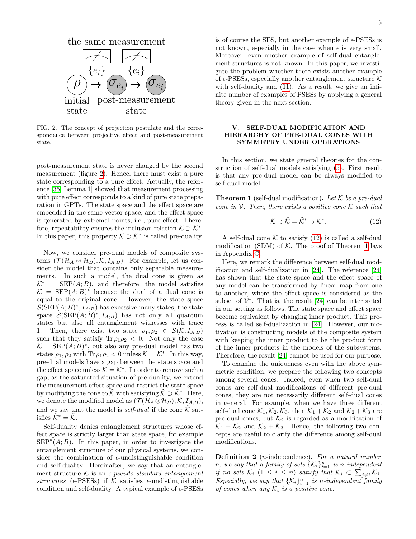

<span id="page-4-2"></span>FIG. 2. The concept of projection postulate and the correspondence between projective effect and post-measurement state.

post-measurement state is never changed by the second measurement (figure [2\)](#page-4-2). Hence, there must exist a pure state corresponding to a pure effect. Actually, the reference [\[35,](#page-10-0) Lemma 1] showed that measurement processing with pure effect corresponds to a kind of pure state preparation in GPTs. The state space and the effect space are embedded in the same vector space, and the effect space is generated by extremal points, i.e., pure effect. Therefore, repeatability ensures the inclusion relation  $K \supset K^*$ . In this paper, this property  $K \supset \mathcal{K}^*$  is called pre-duality.

Now, we consider pre-dual models of composite systems  $(\mathcal{T}(\mathcal{H}_A \otimes \mathcal{H}_B), \mathcal{K}, I_{A;B})$ . For example, let us consider the model that contains only separable measurements. In such a model, the dual cone is given as  $\mathcal{K}^*$  = SEP(A; B), and therefore, the model satisfies  $\mathcal{K} = \text{SEP}(A;B)^*$  because the dual of a dual cone is equal to the original cone. However, the state space  $\mathcal{S}(SEP(A;B)^*, I_{A;B})$  has excessive many states; the state space  $\mathcal{S}(\text{SEP}(A;B)^*, I_{A;B})$  has not only all quantum states but also all entanglement witnesses with trace 1. Then, there exist two state  $\rho_1, \rho_2 \in \mathcal{S}(\mathcal{K}, I_{A;B})$ such that they satisfy  $\text{Tr } \rho_1 \rho_2 < 0$ . Not only the case  $\mathcal{K} = \text{SEP}(A;B)^*$ , but also any pre-dual model has two states  $\rho_1$ ,  $\rho_2$  with Tr  $\rho_1 \rho_2 < 0$  unless  $\mathcal{K} = \mathcal{K}^*$ . In this way, pre-dual models have a gap between the state space and the effect space unless  $K = \mathcal{K}^*$ . In order to remove such a gap, as the saturated situation of pre-duality, we extend the measurement effect space and restrict the state space by modifying the cone to  $\tilde{\mathcal{K}}$  with satisfying  $\tilde{\mathcal{K}} \supset \tilde{\mathcal{K}}^*$ . Here, we denote the modified model as  $(\mathcal{T}(\mathcal{H}_A \otimes \mathcal{H}_B), \mathcal{K}, I_{A:B}),$ and we say that the model is *self-dual* if the cone  $\tilde{\mathcal{K}}$  satisfies  $\tilde{\mathcal{K}}^* = \tilde{\mathcal{K}}$ .

Self-duality denies entanglement structures whose effect space is strictly larger than state space, for example  $\text{SEP}^{*}(A;B)$ . In this paper, in order to investigate the entanglement structure of our physical systems, we consider the combination of  $\epsilon$ -undistinguishable condition and self-duality. Hereinafter, we say that an entanglement structure K is an  $\epsilon$ -pseudo standard entanglement structures ( $\epsilon$ -PSESs) if K satisfies  $\epsilon$ -undistinguishable condition and self-duality. A typical example of  $\epsilon$ -PSESs

is of course the SES, but another example of  $\epsilon$ -PSESs is not known, especially in the case when  $\epsilon$  is very small. Moreover, even another example of self-dual entanglement structures is not known. In this paper, we investigate the problem whether there exists another example of  $\epsilon$ -PSESs, especially another entanglement structure K with self-duality and [\(11\)](#page-3-9). As a result, we give an infinite number of examples of PSESs by applying a general theory given in the next section.

## <span id="page-4-0"></span>V. SELF-DUAL MODIFICATION AND HIERARCHY OF PRE-DUAL CONES WITH SYMMETRY UNDER OPERATIONS

In this section, we state general theories for the construction of self-dual models satisfying [\(5\)](#page-3-0). First result is that any pre-dual model can be always modified to self-dual model.

<span id="page-4-1"></span>**Theorem 1** (self-dual modification). Let  $K$  be a pre-dual cone in V. Then, there exists a positive cone  $\tilde{\mathcal{K}}$  such that

<span id="page-4-3"></span>
$$
\mathcal{K} \supset \tilde{\mathcal{K}} = \tilde{\mathcal{K}}^* \supset \mathcal{K}^*.
$$
 (12)

A self-dual cone  $\tilde{\mathcal{K}}$  to satisfy [\(12\)](#page-4-3) is called a self-dual modification (SDM) of  $K$ . The proof of Theorem [1](#page-4-1) lays in Appendix [C.](#page-12-0)

Here, we remark the difference between self-dual modification and self-dualization in [\[24\]](#page-9-11). The reference [\[24\]](#page-9-11) has shown that the state space and the effect space of any model can be transformed by linear map from one to another, where the effect space is considered as the subset of  $\mathcal{V}^*$ . That is, the result [\[24\]](#page-9-11) can be interpreted in our setting as follows; The state space and effect space become equivalent by changing inner product. This process is called self-dualization in [\[24\]](#page-9-11). However, our motivation is constructing models of the composite system with keeping the inner product to be the product form of the inner products in the models of the subsystems. Therefore, the result [\[24\]](#page-9-11) cannot be used for our purpose.

To examine the uniqueness even with the above symmetric condition, we prepare the following two concepts among several cones. Indeed, even when two self-dual cones are self-dual modifications of different pre-dual cones, they are not necessarily different self-dual cones in general. For example, when we have three different self-dual cone  $\mathcal{K}_1, \mathcal{K}_2, \mathcal{K}_3$ , then  $\mathcal{K}_1 + \mathcal{K}_2$  and  $\mathcal{K}_2 + \mathcal{K}_3$  are pre-dual cones, but  $\mathcal{K}_2$  is regarded as a modification of  $\mathcal{K}_1 + \mathcal{K}_2$  and  $\mathcal{K}_2 + \mathcal{K}_3$ . Hence, the following two concepts are useful to clarify the difference among self-dual modifications.

**Definition 2** (*n*-independence). For a natural number *n*, we say that a family of sets  $\{K_i\}_{i=1}^n$  is n-independent if no sets  $\mathcal{K}_i$   $(1 \leq i \leq n)$  satisfy that  $\mathcal{K}_i \subset \sum_{j \neq i} \mathcal{K}_j$ . Especially, we say that  $\{K_i\}_{i=1}^n$  is n-independent family of cones when any  $\mathcal{K}_i$  is a positive cone.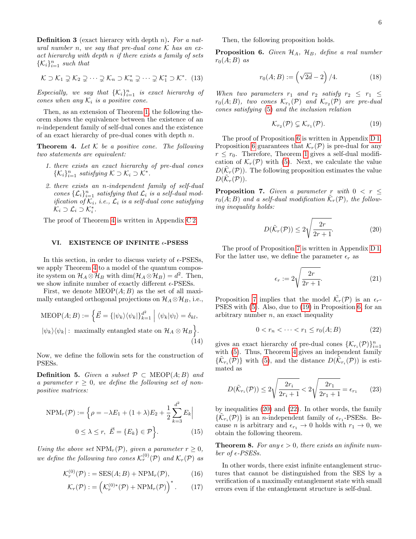**Definition 3** (exact hierarcy with depth  $n$ ). For a natural number n, we say that pre-dual cone  $K$  has an exact hierarchy with depth n if there exists a family of sets  $\{\mathcal{K}_i\}_{i=1}^n$  such that

$$
\mathcal{K} \supset \mathcal{K}_1 \supsetneq \mathcal{K}_2 \supsetneq \cdots \supsetneq \mathcal{K}_n \supset \mathcal{K}_n^* \supsetneq \cdots \supsetneq \mathcal{K}_1^* \supset \mathcal{K}^*.
$$
 (13)

Especially, we say that  $\{K_i\}_{i=1}^n$  is exact hierarchy of cones when any  $\mathcal{K}_i$  is a positive cone.

Then, as an extension of Theorem [1,](#page-4-1) the following theorem shows the equivalence between the existence of an n-independent family of self-dual cones and the existence of an exact hierarchy of pre-dual cones with depth n.

<span id="page-5-0"></span>**Theorem 4.** Let  $K$  be a positive cone. The following two statements are equivalent:

- 1. there exists an exact hierarchy of pre-dual cones  $\{\mathcal{K}_i\}_{i=1}^n$  satisfying  $\mathcal{K} \supset \mathcal{K}_i \supset \mathcal{K}^*$ .
- 2. there exists an n-independent family of self-dual cones  $\{\mathcal{L}_i\}_{i=1}^n$  satisfying that  $\mathcal{L}_i$  is a self-dual modification of  $\mathcal{K}_i$ , i.e.,  $\mathcal{L}_i$  is a self-dual cone satisfying  $\mathcal{K}_i \supset \mathcal{L}_i \supset \mathcal{K}_i^*$ .

The proof of Theorem [4](#page-5-0) is written in Appendix [C 2.](#page-13-1)

### <span id="page-5-1"></span>VI. EXISTENCE OF INFINITE  $\epsilon$ -PSESS

In this section, in order to discuss variety of  $\epsilon$ -PSESs, we apply Theorem [4](#page-5-0) to a model of the quantum composite system on  $\mathcal{H}_A \otimes \mathcal{H}_B$  with dim $(\mathcal{H}_A \otimes \mathcal{H}_B) = d^2$ . Then, we show infinite number of exactly different  $\epsilon$ -PSESs.

First, we denote  $\text{MEDP}(A; B)$  as the set of all maximally entangled orthogonal projections on  $\mathcal{H}_A \otimes \mathcal{H}_B$ , i.e.,

$$
\text{MEOP}(A; B) := \left\{ \vec{E} = \{ |\psi_k\rangle \langle \psi_k| \}_{k=1}^{d^2} \; \middle| \; \langle \psi_k | \psi_l \rangle = \delta_{kl}, \, | \psi_k \rangle \langle \psi_k | : \text{ maximally entangled state on } \mathcal{H}_A \otimes \mathcal{H}_B \right\}.
$$
\n(14)

Now, we define the followin sets for the construction of PSESs.

**Definition 5.** Given a subset  $\mathcal{P} \subset \text{MEOP}(A; B)$  and a parameter  $r > 0$ , we define the following set of nonpositive matrices:

$$
NPM_r(\mathcal{P}) := \left\{ \rho = -\lambda E_1 + (1+\lambda)E_2 + \frac{1}{2} \sum_{k=3}^{d^2} E_k \right\}
$$
  

$$
0 \le \lambda \le r, \ \vec{E} = \{E_k\} \in \mathcal{P} \bigg\}.
$$
 (15)

Using the above set  $NPM_r(\mathcal{P})$ , given a parameter  $r \geq 0$ , we define the following two cones  $\mathcal{K}_r^{(0)}(\mathcal{P})$  and  $\mathcal{K}_r(\mathcal{P})$  as

$$
\mathcal{K}_r^{(0)}(\mathcal{P}) := \text{SES}(A;B) + \text{NPM}_r(\mathcal{P}),\tag{16}
$$

$$
\mathcal{K}_r(\mathcal{P}) := \left( \mathcal{K}_r^{(0)*}(\mathcal{P}) + \text{NPM}_r(\mathcal{P}) \right)^*.
$$
 (17)

Then, the following proposition holds.

<span id="page-5-6"></span>**Proposition 6.** Given  $\mathcal{H}_A$ ,  $\mathcal{H}_B$ , define a real number  $r_0(A;B)$  as

$$
r_0(A;B) := \left(\sqrt{2d} - 2\right)/4. \tag{18}
$$

When two parameters  $r_1$  and  $r_2$  satisfy  $r_2 \leq r_1 \leq r_2$  $r_0(A;B)$ , two cones  $\mathcal{K}_{r_1}(\mathcal{P})$  and  $\mathcal{K}_{r_2}(\mathcal{P})$  are pre-dual cones satisfying [\(5\)](#page-3-0) and the inclusion relation

<span id="page-5-9"></span><span id="page-5-7"></span>
$$
\mathcal{K}_{r_2}(\mathcal{P}) \subsetneq \mathcal{K}_{r_1}(\mathcal{P}).\tag{19}
$$

The proof of Proposition [6](#page-5-6) is written in Appendix [D 1.](#page-13-2) Proposition [6](#page-5-6) guarantees that  $\mathcal{K}_r(\mathcal{P})$  is pre-dual for any  $r \leq r_0$ . Therefore, Theorem [1](#page-4-1) gives a self-dual modification of  $\mathcal{K}_r(\mathcal{P})$  with [\(5\)](#page-3-0). Next, we calculate the value  $D(\tilde{\mathcal{K}}_r(\mathcal{P}))$ . The following proposition estimates the value  $D(\tilde{\mathcal{K}}_r(\mathcal{P})).$ 

<span id="page-5-8"></span>**Proposition 7.** Given a parameter r with  $0 < r \leq$  $r_0(A;B)$  and a self-dual modification  $\tilde{\mathcal{K}}_r(\mathcal{P})$ , the following inequality holds:

$$
D(\tilde{\mathcal{K}}_r(\mathcal{P})) \le 2\sqrt{\frac{2r}{2r+1}}.\tag{20}
$$

The proof of Proposition [7](#page-5-8) is written in Appendix [D 1.](#page-13-2) For the latter use, we define the parameter  $\epsilon_r$  as

<span id="page-5-11"></span><span id="page-5-10"></span>
$$
\epsilon_r := 2\sqrt{\frac{2r}{2r+1}}.\tag{21}
$$

Proposition [7](#page-5-8) implies that the model  $\tilde{\mathcal{K}}_r(\mathcal{P})$  is an  $\epsilon_r$ -PSES with [\(5\)](#page-3-0). Also, due to [\(19\)](#page-5-9) in Proposition [6,](#page-5-6) for an arbitrary number  $n$ , an exact inequality

$$
0 < r_n < \dots < r_1 \le r_0(A; B) \tag{22}
$$

<span id="page-5-3"></span>gives an exact hierarchy of pre-dual cones  $\{\mathcal{K}_{r_i}(\mathcal{P})\}_{i=1}^n$ with  $(5)$ . Thus, Theorem [4](#page-5-0) gives an independent family  $\{\tilde{\mathcal{K}}_{r_i}(\mathcal{P})\}\$  with [\(5\)](#page-3-0), and the distance  $D(\tilde{\mathcal{K}}_{r_i}(\mathcal{P}))$  is estimated as

$$
D(\tilde{\mathcal{K}}_{r_i}(\mathcal{P})) \le 2\sqrt{\frac{2r_i}{2r_i+1}} < 2\sqrt{\frac{2r_1}{2r_1+1}} = \epsilon_{r_1} \qquad (23)
$$

<span id="page-5-4"></span>by inequalities [\(20\)](#page-5-10) and [\(22\)](#page-5-11). In other words, the family  $\{\tilde{\mathcal{K}}_{r_i}(\mathcal{P})\}$  is an *n*-independent family of  $\epsilon_{r_1}$ -PSESs. Because *n* is arbitrary and  $\epsilon_{r_1} \to 0$  holds with  $r_1 \to 0$ , we obtain the following theorem.

<span id="page-5-2"></span>**Theorem 8.** For any  $\epsilon > 0$ , there exists an infinite number of  $\epsilon$ -PSESs.

<span id="page-5-5"></span>In other words, there exist infinite entanglement structures that cannot be distinguished from the SES by a verification of a maximally entanglement state with small errors even if the entanglement structure is self-dual.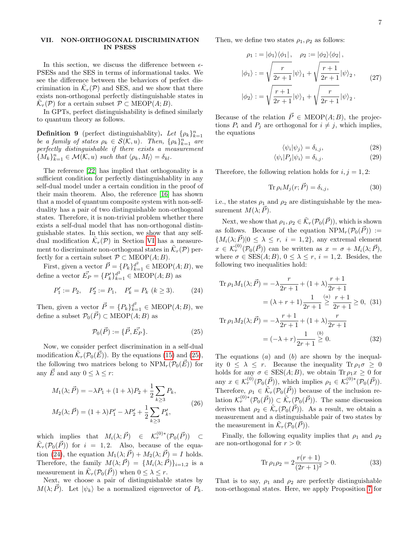### <span id="page-6-0"></span>VII. NON-ORTHOGONAL DISCRIMINATION IN PSESS

In this section, we discuss the difference between  $\epsilon$ -PSESs and the SES in terms of informational tasks. We see the difference between the behaviors of perfect discrimination in  $\tilde{\mathcal{K}}_r(\mathcal{P})$  and SES, and we show that there exists non-orthogonal perfectly distinguishable states in  $\tilde{\mathcal{K}}_r(\mathcal{P})$  for a certain subset  $\mathcal{P} \subset \text{MEOP}(A;B)$ .

In GPTs, perfect distinguishability is defined similarly to quantum theory as follows.

**Definition 9** (perfect distinguishablity). Let  $\{\rho_k\}_{k=1}^n$ be a family of states  $\rho_k \in \mathcal{S}(\mathcal{K},u)$ . Then,  $\{\rho_k\}_{k=1}^n$  are perfectly distinguishable if there exists a measurement  ${M_k}_{k=1}^n \in \mathcal{M}(\mathcal{K}, u) \text{ such that } \langle \rho_k, M_l \rangle = \delta_{kl}.$ 

The reference [\[22\]](#page-9-10) has implied that orthogonality is a sufficient condition for perfectly distinguishablity in any self-dual model under a certain condition in the proof of their main theorem. Also, the reference [\[16\]](#page-9-7) has shown that a model of quantum composite system with non-selfduality has a pair of two distinguishable non-orthogonal states. Therefore, it is non-trivial problem whether there exists a self-dual model that has non-orthogonal distinguishable states. In this section, we show that any selfdual modification  $\tilde{\mathcal{K}}_r(\mathcal{P})$  in Section [VI](#page-5-1) has a measurement to discriminate non-orthogonal states in  $\tilde{\mathcal{K}}_r(\mathcal{P})$  perfectly for a certain subset  $\mathcal{P} \subset \text{MEOP}(A;B)$ .

First, given a vector  $\vec{P} = \{P_k\}_{k=1}^{d^2} \in \text{MEOP}(A;B)$ , we define a vector  $\vec{E_P} = \{P'_k\}_{k=1}^{d^2} \in \text{MEOP}(A;B)$  as

$$
P_1' := P_2, \quad P_2' := P_1, \quad P_k' = P_k \ (k \ge 3). \tag{24}
$$

Then, given a vector  $\vec{P} = \{P_k\}_{k=1}^{d^2} \in \text{MEOP}(A;B)$ , we define a subset  $\mathcal{P}_0(\vec{P}) \subset \text{MEOP}(A; B)$  as

$$
\mathcal{P}_0(\vec{P}) := \{\vec{P}, \vec{E_P}\}.
$$
 (25)

Now, we consider perfect discrimination in a self-dual modification  $\tilde{\mathcal{K}}_r(\mathcal{P}_0(\vec{E}))$ . By the equations [\(15\)](#page-5-4) and [\(25\)](#page-6-1), the following two matrices belong to  $NPM_r(\mathcal{P}_0(\vec{E}))$  for any  $\overrightarrow{E}$  and any  $0 \leq \lambda \leq r$ :

$$
M_1(\lambda; \vec{P}) = -\lambda P_1 + (1 + \lambda) P_2 + \frac{1}{2} \sum_{k \ge 3} P_k,
$$
  

$$
M_2(\lambda; \vec{P}) = (1 + \lambda) P_1' - \lambda P_2' + \frac{1}{2} \sum_{k \ge 3} P_k',
$$
 (26)

which implies that  $M_i(\lambda; \vec{P}) \in \mathcal{K}_r^{(0)*}(\mathcal{P}_0(\vec{P})) \subset$  $\tilde{\mathcal{K}}_r(\mathcal{P}_0(\vec{P}))$  for  $i = 1, 2$ . Also, because of the equa-tion [\(24\)](#page-6-2), the equation  $M_1(\lambda; \vec{P}) + M_2(\lambda; \vec{P}) = I$  holds. Therefore, the family  $M(\lambda; \vec{P}) = \{M_i(\lambda; \vec{P})\}_{i=1,2}$  is a measurement in  $\tilde{\mathcal{K}}_r(\mathcal{P}_0(\vec{P}))$  when  $0 \leq \lambda \leq r$ .

Next, we choose a pair of distinguishable states by  $M(\lambda; \vec{P})$ . Let  $|\psi_k\rangle$  be a normalized eigenvector of  $P_k$ . Then, we define two states  $\rho_1, \rho_2$  as follows:

$$
\rho_1 := |\phi_1\rangle\langle\phi_1|, \quad \rho_2 := |\phi_2\rangle\langle\phi_2|,
$$
  

$$
|\phi_1\rangle := \sqrt{\frac{r}{2r+1}} |\psi\rangle_1 + \sqrt{\frac{r+1}{2r+1}} |\psi\rangle_2, \quad (27)
$$
  

$$
|\phi_2\rangle := \sqrt{\frac{r+1}{2r+1}} |\psi\rangle_1 + \sqrt{\frac{r}{2r+1}} |\psi\rangle_2.
$$

Because of the relation  $\vec{P} \in \text{MEOP}(A; B)$ , the projections  $P_i$  and  $P_j$  are orthogonal for  $i \neq j$ , which implies, the equations

$$
\langle \psi_i | \psi_j \rangle = \delta_{i,j},\tag{28}
$$

$$
\langle \psi_i | P_j | \psi_i \rangle = \delta_{i,j}.
$$
\n(29)

Therefore, the following relation holds for  $i, j = 1, 2$ :

$$
\text{Tr}\,\rho_i M_j(r;\vec{P}) = \delta_{i,j},\tag{30}
$$

i.e., the states  $\rho_1$  and  $\rho_2$  are distinguishable by the measurement  $M(\lambda; P)$ .

Next, we show that  $\rho_1, \rho_2 \in \tilde{\mathcal{K}}_r(\mathcal{P}_0(\vec{P}))$ , which is shown as follows. Because of the equation  $NPM_r(\mathcal{P}_0(\vec{P})) :=$  ${M_i(\lambda; \vec{P})|0 \leq \lambda \leq r, i = 1, 2},$  any extremal element  $x \in \mathcal{K}_r^{(0)}(\mathcal{P}_0(\vec{P}))$  can be written as  $x = \sigma + M_i(\lambda; \vec{P}),$ where  $\sigma \in \text{SES}(A;B)$ ,  $0 \leq \lambda \leq r$ ,  $i = 1, 2$ . Besides, the following two inequalities hold:

<span id="page-6-2"></span>Tr 
$$
\rho_1 M_1(\lambda; \vec{P}) = -\lambda \frac{r}{2r+1} + (1+\lambda) \frac{r+1}{2r+1}
$$
  
=  $(\lambda + r + 1) \frac{1}{2r+1} \ge \frac{r+1}{2r+1} \ge 0$ , (31)

<span id="page-6-1"></span>Tr 
$$
\rho_1 M_2(\lambda; \vec{P}) = -\lambda \frac{r+1}{2r+1} + (1+\lambda) \frac{r}{2r+1}
$$
  
=  $(-\lambda + r) \frac{1}{2r+1} \stackrel{(b)}{\geq} 0.$  (32)

The equations  $(a)$  and  $(b)$  are shown by the inequality  $0 \leq \lambda \leq r$ . Because the inequality  $\text{Tr} \rho_1 \sigma > 0$ holds for any  $\sigma \in \text{SES}(A;B)$ , we obtain  $\text{Tr } \rho_1 x \geq 0$  for any  $x \in \mathcal{K}_r^{(0)}(\mathcal{P}_0(\vec{P}))$ , which implies  $\rho_1 \in \mathcal{K}_r^{(0)*}(\mathcal{P}_0(\vec{P}))$ . Therefore,  $\rho_1 \in \tilde{\mathcal{K}}_r(\mathcal{P}_0(\vec{P}))$  because of the inclusion relation  $\mathcal{K}_r^{(0)*}(\mathcal{P}_0(\vec{P})) \subset \tilde{\mathcal{K}}_r(\mathcal{P}_0(\vec{P}))$ . The same discussion derives that  $\rho_2 \in \tilde{\mathcal{K}}_r(\mathcal{P}_0(\vec{P}))$ . As a result, we obtain a measurement and a distinguishable pair of two states by the measurement in  $\tilde{\mathcal{K}}_r(\mathcal{P}_0(\vec{P})).$ 

Finally, the following equality implies that  $\rho_1$  and  $\rho_2$ are non-orthogonal for  $r > 0$ :

<span id="page-6-3"></span>
$$
\operatorname{Tr}\rho_1\rho_2 = 2\frac{r(r+1)}{(2r+1)^2} > 0. \tag{33}
$$

That is to say,  $\rho_1$  and  $\rho_2$  are perfectly distinguishable non-orthogonal states. Here, we apply Proposition [7](#page-5-8) for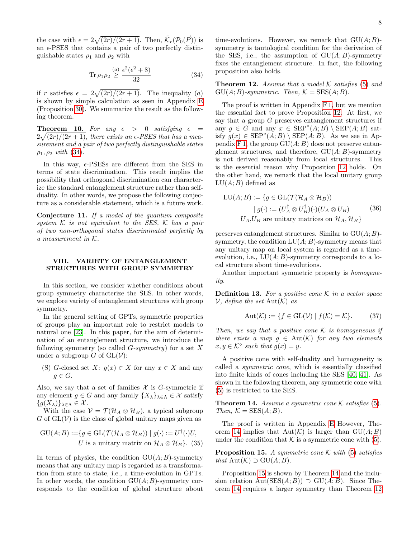the case with  $\epsilon = 2\sqrt{(2r)/(2r+1)}$ . Then,  $\tilde{\mathcal{K}}_r(\mathcal{P}_0(\vec{P}))$  is an  $\epsilon$ -PSES that contains a pair of two perfectly distinguishable states  $\rho_1$  and  $\rho_2$  with

$$
\text{Tr}\,\rho_1\rho_2 \stackrel{(a)}{\geq} \frac{\epsilon^2(\epsilon^2 + 8)}{32} \tag{34}
$$

if r satisfies  $\epsilon = 2\sqrt{(2r)/(2r+1)}$ . The inequality (a) is shown by simple calculation as seen in Appendix [E](#page-16-0) (Proposition [30\)](#page-16-1). We summarize the result as the following theorem.

<span id="page-7-0"></span>**Theorem 10.** For any  $\epsilon > 0$  satisfying  $\epsilon =$  $2\sqrt{(2r)/(2r+1)}$ , there exists an  $\epsilon$ -PSES that has a measurement and a pair of two perfectly distinguishable states  $\rho_1, \rho_2$  with [\(34\)](#page-7-4).

In this way,  $\epsilon$ -PSESs are different from the SES in terms of state discrimination. This result implies the possibility that orthogonal discrimination can characterize the standard entanglement structure rather than selfduality. In other words, we propose the following conjecture as a considerable statement, which is a future work.

<span id="page-7-8"></span>Conjecture 11. If a model of the quantum composite system  $K$  is not equivalent to the SES,  $K$  has a pair of two non-orthogonal states discriminated perfectly by a measurement in K.

## <span id="page-7-1"></span>VIII. VARIETY OF ENTANGLEMENT STRUCTURES WITH GROUP SYMMETRY

In this section, we consider whether conditions about group symmetry characterize the SES. In other words, we explore variety of entanglement structures with group symmetry.

In the general setting of GPTs, symmetric properties of groups play an important role to restrict models to natural one [\[23\]](#page-9-6). In this paper, for the aim of determination of an entanglement structure, we introduce the following symmetry (so called  $G\text{-symmetry}$ ) for a set X under a subgroup G of  $GL(V)$ :

(S) G-closed set X:  $g(x) \in X$  for any  $x \in X$  and any  $q \in G$ .

Also, we say that a set of families  $X$  is G-symmetric if any element  $g \in G$  and any family  $\{X_{\lambda}\}_{{\lambda \in \Lambda}} \in \mathcal{X}$  satisfy  ${g(X_\lambda)}\}_{\lambda\in\Lambda} \in \mathcal{X}$ .

With the case  $V = \mathcal{T}(\mathcal{H}_A \otimes \mathcal{H}_B)$ , a typical subgroup  $G$  of  $GL(V)$  is the class of global unitary maps given as

$$
GU(A;B) := \{ g \in GL(\mathcal{T}(\mathcal{H}_A \otimes \mathcal{H}_B)) \mid g(\cdot) := U^{\dagger}(\cdot)U,
$$
  
U is a unitary matrix on  $\mathcal{H}_A \otimes \mathcal{H}_B \}$ . (35)

In terms of physics, the condition  $GU(A;B)$ -symmetry means that any unitary map is regarded as a transformation from state to state, i.e., a time-evolution in GPTs. In other words, the condition  $GU(A;B)$ -symmetry corresponds to the condition of global structure about

time-evolutions. However, we remark that  $GU(A;B)$ symmetry is tautological condition for the derivation of the SES, i.e., the assumption of  $GU(A;B)$ -symmetry fixes the entanglement structure. In fact, the following proposition also holds.

<span id="page-7-5"></span><span id="page-7-4"></span>**Theorem 12.** Assume that a model  $\mathcal K$  satisfies [\(5\)](#page-3-0) and  $GU(A;B)$ -symmetric. Then,  $K = SES(A;B)$ .

The proof is written in Appendix [F 1,](#page-16-2) but we mention the essential fact to prove Proposition [12.](#page-7-5) At first, we say that a group  $G$  preserves entanglement structures if any  $g \in G$  and any  $x \in \text{SEP}^*(A;B) \setminus \text{SEP}(A;B)$  satisfy  $g(x) \in \text{SEP}^*(A;B) \setminus \text{SEP}(A;B)$ . As we see in Ap-pendix [F 1,](#page-16-2) the group  $GU(A;B)$  does not preserve entanglement structures, and therefore,  $GU(A;B)$ -symmetry is not derived reasonably from local structures. This is the essential reason why Proposition [12](#page-7-5) holds. On the other hand, we remark that the local unitary group  $LU(A;B)$  defined as

<span id="page-7-3"></span>
$$
LU(A; B) := \{ g \in GL(\mathcal{T}(\mathcal{H}_A \otimes \mathcal{H}_B))
$$

$$
| g(\cdot) := (U_A^{\dagger} \otimes U_B^{\dagger})(\cdot)(U_A \otimes U_B)
$$

$$
U_A, U_B \text{ are unitary matrices on } \mathcal{H}_A, \mathcal{H}_B \}
$$
(36)

preserves entanglement structures. Similar to  $GU(A;B)$ symmetry, the condition  $LU(A;B)$ -symmetry means that any unitary map on local system is regarded as a timeevolution, i.e.,  $LU(A;B)$ -symmetry corresponds to a local structure about time-evolutions.

Another important symmetric property is homogeneity.

**Definition 13.** For a positive cone  $K$  in a vector space  $\mathcal V$ , define the set Aut $(\mathcal K)$  as

$$
Aut(\mathcal{K}) := \{ f \in GL(\mathcal{V}) \mid f(\mathcal{K}) = \mathcal{K} \}. \tag{37}
$$

Then, we say that a positive cone  $K$  is homogeneous if there exists a map  $g \in Aut(K)$  for any two elements  $x, y \in \mathcal{K}^{\circ}$  such that  $g(x) = y$ .

A positive cone with self-duality and homogeneity is called a symmetric cone, which is essentially classified into finite kinds of cones including the SES [\[40,](#page-10-3) [41\]](#page-10-5). As shown in the following theorem, any symmetric cone with [\(5\)](#page-3-0) is restricted to the SES.

<span id="page-7-6"></span>**Theorem 14.** Assume a symmetric cone  $K$  satisfies [\(5\)](#page-3-0). Then,  $K = SES(A; B)$ .

<span id="page-7-2"></span>The proof is written in Appendix [E](#page-16-0) However, The-orem [14](#page-7-6) implies that  $Aut(\mathcal{K})$  is larger than  $GU(A;B)$ under the condition that  $K$  is a symmetric cone with [\(5\)](#page-3-0).

<span id="page-7-7"></span>**Proposition 15.** A symmetric cone  $\mathcal K$  with [\(5\)](#page-3-0) satisfies that  $Aut(\mathcal{K}) \supset \mathrm{GU}(A;B)$ .

Proposition [15](#page-7-7) is shown by Theorem [14](#page-7-6) and the inclusion relation  $Aut(SES(A; B)) \supset GU(A; B)$ . Since Theorem [14](#page-7-6) requires a larger symmetry than Theorem [12](#page-7-5)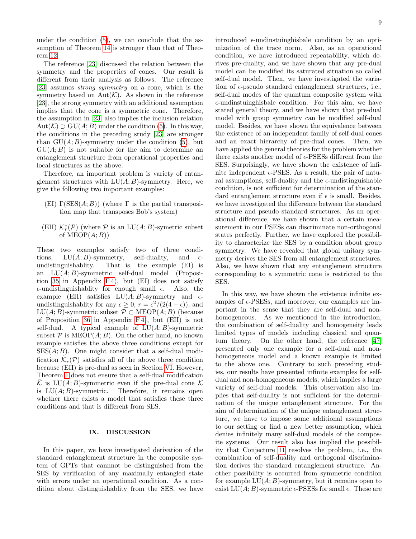under the condition [\(5\)](#page-3-0), we can conclude that the assumption of Theorem [14](#page-7-6) is stronger than that of Theorem [12.](#page-7-5)

The reference [\[23\]](#page-9-6) discussed the relation between the symmetry and the properties of cones. Our result is different from their analysis as follows. The reference [\[23\]](#page-9-6) assumes strong symmetry on a cone, which is the symmetry based on  $Aut(K)$ . As shown in the reference [\[23\]](#page-9-6), the strong symmetry with an additional assumption implies that the cone is a symmetric cone. Therefore, the assumption in [\[23\]](#page-9-6) also implies the inclusion relation Aut $(\mathcal{K}) \supset \mathrm{GU}(A;B)$  under the condition [\(5\)](#page-3-0). In this way, the conditions in the preceding study [\[23\]](#page-9-6) are stronger than  $GU(A;B)$ -symmetry under the condition [\(5\)](#page-3-0), but  $GU(A;B)$  is not suitable for the aim to determine an entanglement structure from operational properties and local structures as the above.

Therefore, an important problem is variety of entanglement structures with  $LU(A;B)$ -symmetry. Here, we give the following two important examples:

- (EI)  $\Gamma(\text{SES}(A; B))$  (where  $\Gamma$  is the partial transposition map that transposes Bob's system)
- (EII)  $\mathcal{K}_r^*(\mathcal{P})$  (where  $\mathcal P$  is an  $LU(A;B)$ -symetric subset of  $MEOP(A; B)$

These two examples satisfy two of three conditions,  $LU(A;B)$ -symmetry, self-duality, and  $\epsilon$ undistinguishablity. That is, the example (EI) is an LU(A; B)-symmetric self-dual model (Proposi-tion [35](#page-17-0) in Appendix  $F(4)$ , but (EI) does not satisfy  $\epsilon$ -undistinguishablity for enough small  $\epsilon$ . Also, the example (EII) satisfies  $LU(A;B)$ -symmetry and  $\epsilon$ undistinguishablity for any  $\epsilon \geq 0$ ,  $r = \frac{\epsilon^2}{2(4 - \epsilon)}$ , and LU(A; B)-symmetric subset  $\mathcal{P} \subset \text{MEOP}(A; B)$  (because of Proposition [36](#page-18-0) in Appendix [F 4\)](#page-17-1), but (EII) is not self-dual. A typical example of  $LU(A;B)$ -symmetric subset  $P$  is MEOP $(A;B)$ . On the other hand, no known example satisfies the above three conditions except for  $SES(A; B)$ . One might consider that a self-dual modification  $\tilde{\mathcal{K}}_r(\mathcal{P})$  satisfies all of the above three condition because (EII) is pre-dual as seen in Section [VI.](#page-5-1) However, Theorem [1](#page-4-1) does not ensure that a self-dual modification  $\mathcal K$  is LU(A; B)-symmetric even if the pre-dual cone  $\mathcal K$ is  $LU(A;B)$ -symmetric. Therefore, it remains open whether there exists a model that satisfies these three conditions and that is different from SES.

## <span id="page-8-0"></span>IX. DISCUSSION

In this paper, we have investigated derivation of the standard entanglement structure in the composite system of GPTs that cannnot be distinguished from the SES by verification of any maximally entangled state with errors under an operational condition. As a condition about distinguishablity from the SES, we have introduced  $\epsilon$ -undinstuinghisbale condition by an optimization of the trace norm. Also, as an operational condition, we have introduced repeatability, which derives pre-duality, and we have shown that any pre-dual model can be modified its saturated situation so called self-dual model. Then, we have investigated the variation of  $\epsilon$ -pseudo standard entanglement structures, i.e., self-dual modes of the quantum composite system with  $\epsilon$ -undinstuinghisbale condition. For this aim, we have stated general theory, and we have shown that pre-dual model with group symmetry can be modified self-dual model. Besides, we have shown the equivalence between the existence of an independent family of self-dual cones and an exact hierarchy of pre-dual cones. Then, we have applied the general theories for the problem whether there exists another model of  $\epsilon\text{-} \text{PSESs}$  different from the SES. Surprisingly, we have shown the existence of infinite independent  $\epsilon$ -PSES. As a result, the pair of natural assumptions, self-duality and the  $\epsilon$ -undistinguishable condition, is not sufficient for determination of the standard entanglement structure even if  $\epsilon$  is small. Besides, we have investigated the difference between the standard structure and pseudo standard structures. As an operational difference, we have shown that a certain measurement in our PSESs can discriminate non-orthogonal states perfectly. Further, we have explored the possibility to characterize the SES by a condition about group symmetry. We have revealed that global unitary symmetry derives the SES from all entanglement structures. Also, we have shown that any entanglement structure corresponding to a symmetric cone is restricted to the SES.

In this way, we have shown the existence infinite examples of  $\epsilon$ -PSESs, and moreover, our examples are important in the sense that they are self-dual and nonhomogeneous. As we mentioned in the introduction, the combination of self-duality and homogeneity leads limited types of models including classical and quantum theory. On the other hand, the reference [\[47\]](#page-10-6) presented only one example for a self-dual and nonhomogeneous model and a known example is limited to the above one. Contrary to such preceding studies, our results have presented infinite examples for selfdual and non-homogeneous models, which implies a large variety of self-dual models. This observation also implies that self-duality is not sufficient for the determination of the unique entanglement structure. For the aim of determination of the unique entanglement structure, we have to impose some additional assumptions to our setting or find a new better assumption, which denies infinitely many self-dual models of the composite systems. Our result also has implied the possibility that Conjecture [11](#page-7-8) resolves the problem, i.e., the combination of self-duality and orthogonal discrimination derives the standard entanglement structure. Another possibility is occurred from symmetric condition for example  $LU(A; B)$ -symmetry, but it remains open to exist  $LU(A;B)$ -symmetric  $\epsilon$ -PSESs for small  $\epsilon$ . These are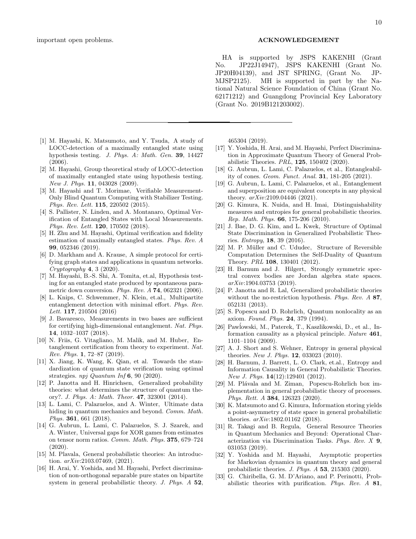- <span id="page-9-0"></span>[1] M. Hayashi, K. Matsumoto, and Y. Tsuda, A study of LOCC-detection of a maximally entangled state using hypothesis testing. J. Phys. A: Math. Gen. 39, 14427 (2006).
- [2] M. Hayashi, Group theoretical study of LOCC-detection of maximally entangled state using hypothesis testing. New J. Phys. **11**, 043028 (2009).
- [3] M. Hayashi and T. Morimae, Verifiable Measurement-Only Blind Quantum Computing with Stabilizer Testing. Phys. Rev. Lett. 115, 220502 (2015).
- [4] S. Pallister, N. Linden, and A. Montanaro, Optimal Verification of Entangled States with Local Measurements. Phys. Rev. Lett. **120**, 170502 (2018).
- [5] H. Zhu and M. Hayashi, Optimal verification and fidelity estimation of maximally entangled states. Phys. Rev. A 99, 052346 (2019).
- <span id="page-9-1"></span>[6] D. Markham and A. Krause, A simple protocol for certifying graph states and applications in quantum networks.  $Cryptography \, 4, 3 \, (2020).$
- <span id="page-9-2"></span>[7] M. Hayashi, B.-S. Shi, A. Tomita, et.al, Hypothesis testing for an entangled state produced by spontaneous parametric down conversion. Phys. Rev. A 74, 062321 (2006).
- [8] L. Knips, C. Schwemmer, N. Klein, et.al., Multipartite entanglement detection with minimal effort. Phys. Rev. Lett. **117**, 210504 (2016)
- [9] J. Bavaresco, Measurements in two bases are sufficient for certifying high-dimensional entanglement. Nat. Phys. 14, 1032–1037 (2018).
- [10] N. Friis, G. Vitagliano, M. Malik, and M. Huber, Entanglement certification from theory to experiment. Nat. Rev. Phys. 1, 72–87 (2019).
- <span id="page-9-3"></span>[11] X. Jiang, K. Wang, K. Qian, et al. Towards the standardization of quantum state verification using optimal strategies. npj Quantum Inf 6, 90 (2020).
- <span id="page-9-4"></span>[12] P. Janotta and H. Hinrichsen, Generalized probability theories: what determines the structure of quantum theory?. J. Phys. A: Math. Theor. 47, 323001 (2014).
- [13] L. Lami, C. Palazuelos, and A. Winter, Ultimate data hiding in quantum mechanics and beyond. Comm. Math. Phys. 361, 661 (2018).
- [14] G. Aubrun, L. Lami, C. Palazuelos, S. J. Szarek, and A. Winter, Universal gaps for XOR games from estimates on tensor norm ratios. Comm. Math. Phys. 375, 679–724 (2020).
- <span id="page-9-13"></span>[15] M. Plavala, General probabilistic theories: An introduction. arXiv:2103.07469, (2021).
- <span id="page-9-7"></span>[16] H. Arai, Y. Yoshida, and M. Hayashi, Perfect discrimination of non-orthogonal separable pure states on bipartite system in general probabilistic theory. J. Phys. A 52,

465304 (2019).

- <span id="page-9-8"></span>[17] Y. Yoshida, H. Arai, and M. Hayashi, Perfect Discrimination in Approximate Quantum Theory of General Probabilistic Theories. PRL, 125, 150402 (2020).
- [18] G. Aubrun, L. Lami, C. Palazuelos, et al., Entangleability of cones. Geom. Funct. Anal. 31, 181-205 (2021).
- <span id="page-9-5"></span>[19] G. Aubrun, L. Lami, C. Palazuelos, et al., Entanglement and superposition are equivalent concepts in any physical theory. arXiv:2109.04446 (2021).
- <span id="page-9-9"></span>[20] G. Kimura, K. Nuida, and H. Imai, Distinguishability measures and entropies for general probabilistic theories. Rep. Math. Phys. 66, 175-206 (2010).
- [21] J. Bae, D. G. Kim, and L. Kwek, Structure of Optimal State Discrimination in Generalized Probabilistic Theories. Entropy, 18, 39 (2016).
- <span id="page-9-10"></span>[22] M. P. Müller and C. Ududec, Structure of Reversible Computation Determines the Self-Duality of Quantum Theory. PRL 108, 130401 (2012).
- <span id="page-9-6"></span>[23] H. Barnum and J. Hilgert, Strongly symmetric spectral convex bodies are Jordan algebra state spaces. arXiv:1904.03753 (2019).
- <span id="page-9-11"></span>[24] P. Janotta and R. Lal, Generalized probabilistic theories without the no-restriction hypothesis. Phys. Rev. A 87, 052131 (2013).
- [25] S. Popescu and D. Rohrlich, Quantum nonlocality as an axiom. Found. Phys. 24, 379 (1994).
- [26] Pawlowski, M., Paterek, T., Kaszlikowski, D., et al., Information causality as a physical principle. Nature 461, 1101–1104 (2009).
- [27] A. J. Short and S. Wehner, Entropy in general physical theories. New J. Phys. 12, 033023 (2010).
- [28] H. Barnum, J. Barrett, L. O. Clark, et.al., Entropy and Information Causality in General Probabilistic Theories. New J. Phys. **14**(12):129401 (2012).
- [29] M. Plávala and M. Ziman, Popescu-Rohrlich box implementation in general probabilistic theory of processes. Phys. Rett. A 384, 126323 (2020).
- [30] K. Matsumoto and G. Kimura, Information storing yields a point-asymmetry of state space in general probabilistic theories. arXiv:1802.01162 (2018).
- [31] R. Takagi and B. Regula, General Resource Theories in Quantum Mechanics and Beyond: Operational Characterization via Discrimination Tasks. Phys. Rev. X 9, 031053 (2019).
- <span id="page-9-12"></span>[32] Y. Yoshida and M. Hayashi, Asymptotic properties for Markovian dynamics in quantum theory and general probabilistic theories. J. Phys. A 53, 215303 (2020).
- [33] G. Chiribella, G. M. D'Ariano, and P. Perinotti, Probabilistic theories with purification. Phys. Rev. A 81,

#### important open problems. ACKNOWLEDGEMENT

HA is supported by JSPS KAKENHI (Grant No. JP22J14947), JSPS KAKENHI (Grant No. JP20H04139), and JST SPRING, (Grant No. JP-MJSP2125). MH is supported in part by the National Natural Science Foundation of China (Grant No. 62171212) and Guangdong Provincial Key Laboratory (Grant No. 2019B121203002).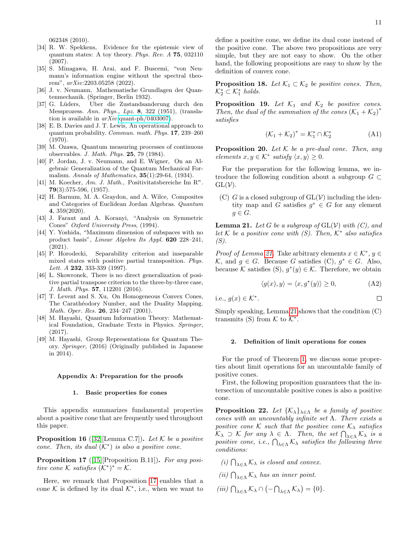$\Box$ 

062348 (2010).

- [34] R. W. Spekkens, Evidence for the epistemic view of quantum states: A toy theory. Phys. Rev. A 75, 032110 (2007).
- <span id="page-10-0"></span>[35] S. Minagawa, H. Arai, and F. Buscemi, "von Neumann's information engine without the spectral theorem", arXiv:2203.05258 (2022).
- <span id="page-10-1"></span>[36] J. v. Neumann, Mathematische Grundlagen der Quantenmechanik. (Springer, Berlin 1932).
- [37] G. L¨uders, Uber die Zustandsanderung durch den Messprozess. Ann. Phys., Lpz. 8, 322 (1951), (translation is available in arXiv[:quant-ph/0403007\)](http://arxiv.org/abs/quant-ph/0403007).
- [38] E. B. Davies and J. T. Lewis, An operational approach to quantum probability. Commun. math. Phys. 17, 239–260 (1970).
- <span id="page-10-2"></span>[39] M. Ozawa, Quantum measuring processes of continuous observables. J. Math. Phys. 25, 79 (1984).
- <span id="page-10-3"></span>[40] P. Jordan, J. v. Neumann, and E. Wigner, On an Algebraic Generalization of the Quantum Mechanical Formalism. Annals of Mathematics,  $35(1):29-64$ ,  $(1934)$ .
- <span id="page-10-5"></span>[41] M. Koecher, Am. J. Math., Positivitatsbereiche Im  $\mathbb{R}^n$ . 79(3):575-596, (1957).
- <span id="page-10-4"></span>[42] H. Barnum, M. A. Graydon, and A. Wilce, Composites and Categories of Euclidean Jordan Algebras. Quantum 4, 359(2020).
- <span id="page-10-13"></span>[43] J. Faraut and A. Koranyi, "Analysis on Symmetric Cones" Oxford University Press, (1994).
- <span id="page-10-14"></span>[44] Y. Yoshida, "Maximum dimension of subspaces with no product basis", Linear Algebra Its Appl. 620 228–241, (2021).
- [45] P. Horodecki, Separability criterion and inseparable mixed states with positive partial transposition. Phys. Lett. A **232**, 333-339 (1997).
- [46] L. Skowronek, There is no direct generalization of positive partial transpose criterion to the three-by-three case, J. Math. Phys. 57, 112201 (2016).
- <span id="page-10-6"></span>[47] T. Levent and S. Xu, On Homogeneous Convex Cones, The Carathéodory Number, and the Duality Mapping. Math. Oper. Res. 26, 234–247 (2001).
- <span id="page-10-12"></span>[48] M. Hayashi, Quantum Information Theory: Mathematical Foundation, Graduate Texts in Physics. Springer, (2017).
- [49] M. Hayashi, Group Representations for Quantum Theory. Springer, (2016) (Originally published in Japanese in 2014).

#### <span id="page-10-15"></span>Appendix A: Preparation for the proofs

### 1. Basic properties for cones

This appendix summarizes fundamental properties about a positive cone that are frequently used throughout this paper.

**Proposition 16** ([\[32\]](#page-9-12)[Lemma C.7]). Let K be a positive cone. Then, its dual  $(K^*)$  is also a positive cone.

<span id="page-10-7"></span>Proposition 17 ([\[15\]](#page-9-13)[Proposition B.11]). For any positive cone  $K$  satisfies  $(K^*)^* = K$ .

Here, we remark that Proposition [17](#page-10-7) enables that a cone  $K$  is defined by its dual  $\mathcal{K}^*$ , i.e., when we want to

define a positive cone, we define its dual cone instead of the positive cone. The above two propositions are very simple, but they are not easy to show. On the other hand, the following propositions are easy to show by the definition of convex cone.

<span id="page-10-9"></span>**Proposition 18.** Let  $\mathcal{K}_1 \subset \mathcal{K}_2$  be positive cones. Then,  $\mathcal{K}_2^* \subset \mathcal{K}_1^*$  holds.

<span id="page-10-11"></span>**Proposition 19.** Let  $K_1$  and  $K_2$  be positive cones. Then, the dual of the summation of the cones  $(K_1 + K_2)^*$ satisfies

$$
(\mathcal{K}_1 + \mathcal{K}_2)^* = \mathcal{K}_1^* \cap \mathcal{K}_2^* \tag{A1}
$$

**Proposition 20.** Let  $K$  be a pre-dual cone. Then, any  $elements x, y \in K^*$  satisfy  $\langle x, y \rangle \ge 0$ .

For the preparation for the following lemma, we introduce the following condition about a subgroup  $G \subset$  $GL(V)$ .

(C) G is a closed subgroup of  $GL(V)$  including the identity map and G satisfies  $g^* \in G$  for any element  $g \in G$ .

<span id="page-10-8"></span>**Lemma 21.** Let G be a subgroup of  $GL(V)$  with  $(C)$ , and let K be a positive cone with  $(S)$ . Then,  $\mathcal{K}^*$  also satisfies (S).

Proof of Lemma [21.](#page-10-8) Take arbitrary elements  $x \in \mathcal{K}^*, y \in$  $K$ , and  $g \in G$ . Because G satisfies (C),  $g^* \in G$ . Also, because K satisfies (S),  $g^*(y) \in \mathcal{K}$ . Therefore, we obtain

$$
\langle g(x), y \rangle = \langle x, g^*(y) \rangle \ge 0,
$$
 (A2)

i.e., 
$$
g(x) \in \mathcal{K}^*
$$

.

Simply speaking, Lemma [21](#page-10-8) shows that the condition (C) transmits (S) from  $K$  to  $K^*$ .

### 2. Definition of limit operations for cones

For the proof of Theorem [1,](#page-4-1) we discuss some properties about limit operations for an uncountable family of positive cones.

First, the following proposition guarantees that the intersection of uncountable positive cones is also a positive cone.

<span id="page-10-10"></span>**Proposition 22.** Let  $\{K_{\lambda}\}_{\lambda \in \Lambda}$  be a family of positive cones with an uncountably infinite set  $\Lambda$ . There exists a positive cone K such that the positive cone  $K_{\lambda}$  satisfies  $\mathcal{K}_{\lambda} \supset \mathcal{K}$  for any  $\lambda \in \Lambda$ . Then, the set  $\bigcap_{\lambda \in \Lambda} \mathcal{K}_{\lambda}$  is a positive cone, i.e.,  $\bigcap_{\lambda \in \Lambda} \mathcal{K}_{\lambda}$  satisfies the following three conditions:

(i)  $\bigcap_{\lambda \in \Lambda} \mathcal{K}_{\lambda}$  is closed and convex.

(ii)  $\bigcap_{\lambda \in \Lambda} \mathcal{K}_{\lambda}$  has an inner point.

(iii)  $\bigcap_{\lambda \in \Lambda} \mathcal{K}_{\lambda} \cap (-\bigcap_{\lambda \in \Lambda} \mathcal{K}_{\lambda}) = \{0\}.$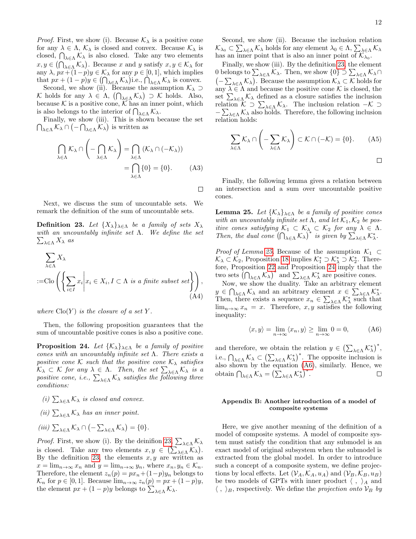*Proof.* First, we show (i). Because  $\mathcal{K}_{\lambda}$  is a positive cone for any  $\lambda \in \Lambda$ ,  $\mathcal{K}_{\lambda}$  is closed and convex. Because  $\mathcal{K}_{\lambda}$  is closed,  $\bigcap_{\lambda \in \Lambda} \mathcal{K}_{\lambda}$  is also closed. Take any two elements  $x, y \in (\bigcap_{\lambda \in \Lambda} \mathcal{K}_{\lambda})$ . Because x and y satisfy  $x, y \in \mathcal{K}_{\lambda}$  for any  $\lambda$ ,  $px+(1-p)y \in \mathcal{K}_{\lambda}$  for any  $p \in [0,1]$ , which implies that  $px + (1 - p)y \in \left(\bigcap_{\lambda \in \Lambda} \mathcal{K}_{\lambda}\right)$  i.e.,  $\bigcap_{\lambda \in \Lambda} \mathcal{K}_{\lambda}$  is convex.

Second, we show (ii). Because the assumption  $\mathcal{K}_{\lambda} \supset$ K holds for any  $\lambda \in \Lambda$ ,  $(\bigcap_{\lambda \in \Lambda} \mathcal{K}_{\lambda}) \supset \mathcal{K}$  holds. Also, because  $K$  is a positive cone,  $\overline{K}$  has an inner point, which is also belongs to the interior of  $\bigcap_{\lambda \in \Lambda} \mathcal{K}_{\lambda}$ .

 $\bigcap_{\lambda \in \Lambda} \mathcal{K}_{\lambda} \cap (-\bigcap_{\lambda \in \Lambda} \mathcal{K}_{\lambda})$  is written as Finally, we show (iii). This is shown because the set

$$
\bigcap_{\lambda \in \Lambda} \mathcal{K}_{\lambda} \cap \left( -\bigcap_{\lambda \in \Lambda} \mathcal{K}_{\lambda} \right) = \bigcap_{\lambda \in \Lambda} (\mathcal{K}_{\lambda} \cap (-\mathcal{K}_{\lambda}))
$$
\n
$$
= \bigcap_{\lambda \in \Lambda} \{0\} = \{0\}.
$$
\n(A3)

Next, we discuss the sum of uncountable sets. We remark the definition of the sum of uncountable sets.

<span id="page-11-1"></span>**Definition 23.** Let  $\{X_{\lambda}\}_{\lambda \in \Lambda}$  be a family of sets  $X_{\lambda}$ with an uncountably infinite set  $\Lambda$ . We define the set  $\sum_{\lambda\in\Lambda} X_\lambda$  as

$$
\sum_{\lambda \in \Lambda} X_{\lambda}
$$
  
:=Clo $\left( \left\{ \sum_{i \in I} x_i \middle| x_i \in X_i, I \subset \Lambda \text{ is a finite subset set} \right\} \right),$   
(A4)

where  $\text{Clo}(Y)$  is the closure of a set Y.

Then, the following proposition guarantees that the sum of uncountable positive cones is also a positive cone.

<span id="page-11-3"></span>**Proposition 24.** Let  $\{K_{\lambda}\}_{\lambda \in \Lambda}$  be a family of positive cones with an uncountably infinite set  $\Lambda$ . There exists a positive cone K such that the positive cone  $\mathcal{K}_{\lambda}$  satisfies  $\mathcal{K}_{\lambda} \subset \mathcal{K}$  for any  $\lambda \in \Lambda$ . Then, the set  $\sum_{\lambda \in \Lambda} \mathcal{K}_{\lambda}$  is a positive cone, i.e.,  $\sum_{\lambda \in \Lambda} \mathcal{K}_{\lambda}$  satisfies the following three conditions:

- (i)  $\sum_{\lambda \in \Lambda} \mathcal{K}_{\lambda}$  is closed and convex.
- (ii)  $\sum_{\lambda \in \Lambda} \mathcal{K}_{\lambda}$  has an inner point.
- (iii)  $\sum_{\lambda \in \Lambda} \mathcal{K}_{\lambda} \cap (-\sum_{\lambda \in \Lambda} \mathcal{K}_{\lambda}) = \{0\}.$

*Proof.* First, we show (i). By the deinifion [23,](#page-11-1)  $\sum_{\lambda \in \Lambda} \mathcal{K}_{\lambda}$ is closed. Take any two elements  $x, y \in (\sum_{\lambda \in \Lambda} \mathcal{K}_{\lambda}).$ By the definition [23,](#page-11-1) the elements  $x, y$  are written as  $x = \lim_{n \to \infty} x_n$  and  $y = \lim_{n \to \infty} y_n$ , where  $x_n, y_n \in \mathcal{K}_n$ . Therefore, the element  $z_n(p) = px_n + (1-p)y_n$  belongs to  $\mathcal{K}_n$  for  $p \in [0, 1]$ . Because  $\lim_{n \to \infty} z_n(p) = px + (1 - p)y$ , the element  $px + (1 - p)y$  belongs to  $\sum_{\lambda \in \Lambda} \mathcal{K}_{\lambda}$ .

Second, we show (ii). Because the inclusion relation  $\mathcal{K}_{\lambda_0} \subset \sum_{\lambda \in \Lambda} \mathcal{K}_{\lambda}$  holds for any element  $\lambda_0 \in \Lambda$ ,  $\sum_{\lambda \in \Lambda} \mathcal{K}_{\lambda}$ has an inner point that is also an inner point of  $\mathcal{K}_{\lambda_0}$ .

Finally, we show (iii). By the definition [23,](#page-11-1) the element 0 belongs to  $\sum_{\lambda \in \Lambda} \mathcal{K}_{\lambda}$ . Then, we show  $\{0\} \supset \sum_{\lambda \in \Lambda} \mathcal{K}_{\lambda} \cap$  $\left(-\sum_{\lambda\in\Lambda}\mathcal{K}_{\lambda}\right)$ . Because the assumption  $\mathcal{K}_{\lambda}\subset\mathcal{K}$  holds for any  $\lambda \in \Lambda$  and because the positive cone K is closed, the set  $\sum_{\lambda \in \Lambda} \mathcal{K}_{\lambda}$  defined as a closure satisfies the inclusion relation  $\mathcal{K} \supset \sum_{\lambda \in \Lambda} \mathcal{K}_{\lambda}$ . The inclusion relation  $-\mathcal{K} \supset$  $-\sum_{\lambda\in\Lambda}$  K<sub> $\lambda$ </sub> also holds. Therefore, the following inclusion relation holds:

$$
\sum_{\lambda \in \Lambda} \mathcal{K}_{\lambda} \cap \left( -\sum_{\lambda \in \Lambda} \mathcal{K}_{\lambda} \right) \subset \mathcal{K} \cap (-\mathcal{K}) = \{0\}. \tag{A5}
$$

Finally, the following lemma gives a relation between an intersection and a sum over uncountable positive cones.

<span id="page-11-2"></span>**Lemma 25.** Let  $\{K_{\lambda}\}_{\lambda \in \Lambda}$  be a family of positive cones with an uncountably infinite set  $\Lambda$ , and let  $\mathcal{K}_1, \mathcal{K}_2$  be positive cones satisfying  $\mathcal{K}_1 \subset \mathcal{K}_{\lambda} \subset \mathcal{K}_2$  for any  $\lambda \in \Lambda$ . Then, the dual cone  $(\bigcap_{\lambda \in \Lambda} K_{\lambda})^*$  is given by  $\sum_{\lambda \in \Lambda} K_{\lambda}^*$ .

*Proof of Lemma [25.](#page-11-2)* Because of the assumption  $K_1 \subset$  $\mathcal{K}_\lambda$  ⊂  $\mathcal{K}_2$ , Proposition [18](#page-10-9) implies  $\mathcal{K}_1^*$  ⊃  $\mathcal{K}_\lambda^*$  ⊃  $\mathcal{K}_2^*$ . Therefore, Proposition [22](#page-10-10) and Proposition [24](#page-11-3) imply that the two sets  $(\bigcap_{\lambda \in \Lambda} K_{\lambda})^*$  and  $\sum_{\lambda \in \Lambda} K_{\lambda}^*$  are positive cones.

Now, we show the duality. Take an arbitrary element  $y \in \bigcap_{\lambda \in \Lambda} \mathcal{K}_{\lambda}$  and an arbitrary element  $x \in \sum_{\lambda \in \Lambda} \mathcal{K}_{\lambda}^{*}$ . Then, there exists a sequence  $x_n \in \sum_{\lambda \in \Lambda} \mathcal{K}^*_{\lambda}$  such that  $\lim_{n\to\infty}x_n=x$ . Therefore, x, y satisfies the following inequality:

<span id="page-11-4"></span>
$$
\langle x, y \rangle = \lim_{n \to \infty} \langle x_n, y \rangle \ge \lim_{n \to \infty} 0 = 0,
$$
 (A6)

and therefore, we obtain the relation  $y \in (\sum_{\lambda \in \Lambda} \mathcal{K}_{\lambda}^*)^*$ , i.e.,  $\bigcap_{\lambda \in \Lambda} \mathcal{K}_{\lambda} \subset \left( \sum_{\lambda \in \Lambda} \mathcal{K}_{\lambda}^{*} \right)^{*}$ . The opposite inclusion is also shown by the equation [\(A6\)](#page-11-4), similarly. Hence, we obtain  $\bigcap_{\lambda \in \Lambda} \mathcal{K}_{\lambda} = \left( \sum_{\lambda \in \Lambda} \mathcal{K}_{\lambda}^{*} \right)^{*}.$  $\Box$ 

## <span id="page-11-0"></span>Appendix B: Another introduction of a model of composite systems

Here, we give another meaning of the definition of a model of composite systems. A model of composite system must satisfy the condition that any submodel is an exact model of original subsystem when the submodel is extracted from the global model. In order to introduce such a concept of a composite system, we define projections by local effects. Let  $(\mathcal{V}_A, \mathcal{K}_A, u_A)$  and  $(\mathcal{V}_B, \mathcal{K}_B, u_B)$ be two models of GPTs with inner product  $\langle , \rangle_A$  and  $\langle , \rangle_B$ , respectively. We define the projection onto  $\mathcal{V}_B$  by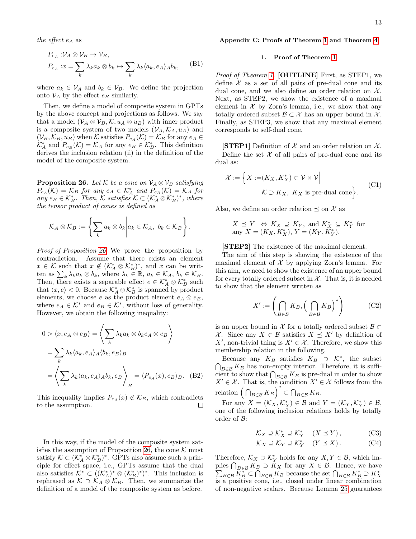the effect  $e_A$  as

$$
P_{e_A}: V_A \otimes V_B \to V_B,
$$
  
\n
$$
P_{e_A}: x = \sum_k \lambda_k a_k \otimes b_k \mapsto \sum_k \lambda_k \langle a_k, e_A \rangle_A b_k,
$$
 (B1)

where  $a_k \in V_A$  and  $b_k \in V_B$ . We define the projection onto  $\mathcal{V}_A$  by the effect  $e_B$  similarly.

Then, we define a model of composite system in GPTs by the above concept and projections as follows. We say that a model  $(\mathcal{V}_A \otimes \mathcal{V}_B, \mathcal{K}, u_A \otimes u_B)$  with inner product is a composite system of two models  $(\mathcal{V}_A, \mathcal{K}_A, u_A)$  and  $(\mathcal{V}_B, \mathcal{K}_B, u_B)$  when K satisfies  $P_{e_A}(\mathcal{K}) = \mathcal{K}_B$  for any  $e_A \in$  $\mathcal{K}_A^*$  and  $P_{e_B}(\mathcal{K}) = \mathcal{K}_A$  for any  $e_B \in \mathcal{K}_B^*$ . This definition derives the inclusion relation (ii) in the definition of the model of the composite system.

<span id="page-12-1"></span>**Proposition 26.** Let K be a cone on  $\mathcal{V}_A \otimes \mathcal{V}_B$  satisfying  $P_{e_A}(\mathcal{K}) = \mathcal{K}_B$  for any  $e_A \in \mathcal{K}_A^*$  and  $P_{e_B}(\mathcal{K}) = \mathcal{K}_A$  for any  $e_B \in \mathcal{K}_B^*$ . Then,  $\mathcal{K}$  satisfies  $\mathcal{K} \subset (\mathcal{K}_A^* \otimes \mathcal{K}_B^*)^*$ , where the tensor product of cones is defined as

$$
\mathcal{K}_A \otimes \mathcal{K}_B := \left\{ \sum_k a_k \otimes b_k \middle| a_k \in \mathcal{K}_A, b_k \in \mathcal{K}_B \right\}.
$$

Proof of Proposition [26.](#page-12-1) We prove the proposition by contradiction. Assume that there exists an element  $x \in \mathcal{K}$  such that  $x \notin (\mathcal{K}_A^* \otimes \mathcal{K}_B^*)^*$ , and  $x$  can be written as  $\sum_{k} \lambda_k a_k \otimes b_k$ , where  $\lambda_k \in \mathbb{R}$ ,  $a_k \in \mathcal{K}_A$ ,  $b_k \in \mathcal{K}_B$ . Then, there exists a separable effect  $e \in \mathcal{K}_A^* \otimes \mathcal{K}_B^*$  such that  $\langle x, e \rangle < 0$ . Because  $\mathcal{K}_A^* \otimes \mathcal{K}_B^*$  is spanned by product elements, we choose e as the product element  $e_A \otimes e_B$ , where  $e_A \in \mathcal{K}^*$  and  $e_B \in \mathcal{K}^*$ , without loss of generality. However, we obtain the following inequality:

$$
0 > \langle x, e_A \otimes e_B \rangle = \left\langle \sum_k \lambda_k a_k \otimes b_k e_A \otimes e_B \right\rangle
$$
  
=  $\sum_k \lambda_k \langle a_k, e_A \rangle_A \langle b_k, e_B \rangle_B$   
=  $\left\langle \sum_k \lambda_k \langle a_k, e_A \rangle_A b_k, e_B \right\rangle_B = \langle P_{e_A}(x), e_B \rangle_B.$  (B2)

This inequality implies  $P_{e_A}(x) \notin \mathcal{K}_B$ , which contradicts to the assumption. to the assumption.

In this way, if the model of the composite system sat-isfies the assumption of Proposition [26,](#page-12-1) the cone  $K$  must satisfy  $\mathcal{K} \subset (\mathcal{K}_A^* \otimes \mathcal{K}_B^*)^*$ . GPTs also assume such a principle for effect space, i.e., GPTs assume that the dual also satisfies  $\mathcal{K}^* \subset ((\mathcal{K}_A^*)^* \otimes (\mathcal{K}_B^*)^*)^*$ . This inclusion is rephrased as  $K \supset K_A \otimes K_B$ . Then, we summarize the definition of a model of the composite system as before.

### <span id="page-12-0"></span>Appendix C: Proofs of Theorem [1](#page-4-1) and Theorem [4](#page-5-0)

#### 1. Proof of Theorem [1](#page-4-1)

Proof of Theorem [1.](#page-4-1) [OUTLINE] First, as STEP1, we define  $X$  as a set of all pairs of pre-dual cone and its dual cone, and we also define an order relation on  $\mathcal{X}$ . Next, as STEP2, we show the existence of a maximal element in  $X$  by Zorn's lemma, i.e., we show that any totally ordered subset  $\mathcal{B} \subset \mathcal{X}$  has an upper bound in  $\mathcal{X}$ . Finally, as STEP3, we show that any maximal element corresponds to self-dual cone.

**[STEP1]** Definition of  $\mathcal{X}$  and an order relation on  $\mathcal{X}$ . Define the set  $\mathcal X$  of all pairs of pre-dual cone and its dual as:

$$
\mathcal{X} := \left\{ X := (K_X, K_X^*) \subset \mathcal{V} \times \mathcal{V} \Big| \right\}
$$
  

$$
\mathcal{K} \supset K_X, K_X \text{ is pre-dual cone} \right\}.
$$
 (C1)

Also, we define an order relation  $\preceq$  on X as

$$
X \preceq Y \Leftrightarrow K_X \supseteq K_Y, \text{ and } K_X^* \subseteq K_Y^* \text{ for}
$$
  
any  $X = (K_X, K_X^*), Y = (K_Y, K_Y^*).$ 

[STEP2] The existence of the maximal element.

The aim of this step is showing the existence of the maximal element of  $X$  by applying Zorn's lemma. For this aim, we need to show the existence of an upper bound for every totally ordered subset in  $X$ . That is, it is needed to show that the element written as

$$
X' := \left(\bigcap_{B \in \mathcal{B}} K_B, \left(\bigcap_{B \in \mathcal{B}} K_B\right)^*\right) \tag{C2}
$$

is an upper bound in X for a totally ordered subset  $\mathcal{B} \subset$ X. Since any  $X \in \mathcal{B}$  satisfies  $X \preceq X'$  by definition of X', non-trivial thing is  $X' \in \mathcal{X}$ . Therefore, we show this membership relation in the following.

Because any  $K_B$  satisfies  $K_B \supset \mathcal{K}^*$ <br> $\bigcap_{B \in \mathcal{B}} K_B$  has non-empty interior. Therefore , the subset  $_{B\in\mathcal{B}} K_B$  has non-empty interior. Therefore, it is sufficient to show that  $\bigcap_{B\in\mathcal{B}} K_B$  is pre-dual in order to show  $X' \in \mathcal{X}$ . That is, the condition  $X' \in \mathcal{X}$  follows from the relation  $(\bigcap_{B\in\mathcal{B}}K_B)^*\subset \bigcap_{B\in\mathcal{B}}K_B$ .

For any  $X = (\mathcal{K}_X, \mathcal{K}_X^*) \in \mathcal{B}$  and  $Y = (\mathcal{K}_Y, \mathcal{K}_Y^*) \in \mathcal{B}$ , one of the following inclusion relations holds by totally order of B:

$$
\mathcal{K}_X \supseteq \mathcal{K}_X^* \supseteq \mathcal{K}_Y^* \quad (X \preceq Y), \tag{C3}
$$

$$
\mathcal{K}_X \supseteq \mathcal{K}_Y \supseteq \mathcal{K}_Y^* \quad (Y \preceq X). \tag{C4}
$$

Therefore,  $\mathcal{K}_X \supset \mathcal{K}_Y^*$  holds for any  $X, Y \in \mathcal{B}$ , which implies  $\bigcap_{B \in \mathcal{B}} K_B \supset K_X$  for any  $X \in \mathcal{B}$ . Hence, we have  $\sum_{B \in \mathcal{B}} K_B^* \subset \bigcap_{B \in \mathcal{B}} K_B$  because the set  $\bigcap_{B \in \mathcal{B}} K_B^* \supset K_X^*$ is a positive cone, i.e., closed under linear combination of non-negative scalars. Because Lemma [25](#page-11-2) guarantees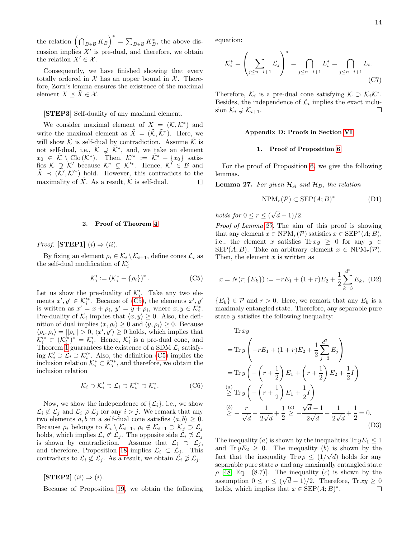the relation  $(\bigcap_{B\in\mathcal{B}} K_B)^* = \sum_{B\in\mathcal{B}} K_B^*$ , the above discussion implies  $X'$  is pre-dual, and therefore, we obtain the relation  $X' \in \mathcal{X}$ .

Consequently, we have finished showing that every totally ordered in  $X$  has an upper bound in  $X$ . Therefore, Zorn's lemma ensures the existence of the maximal element  $X \preceq \tilde{X} \in \mathcal{X}$ .

## [STEP3] Self-duality of any maximal element.

We consider maximal element of  $X = (\mathcal{K}, \mathcal{K}^*)$  and write the maximal element as  $\tilde{X} = (\tilde{\mathcal{K}}, \tilde{\mathcal{K}}^*)$ . Here, we will show  $\tilde{\mathcal{K}}$  is self-dual by contradiction. Assume  $\tilde{\mathcal{K}}$  is not self-dual, i,e,,  $\tilde{\mathcal{K}} \supsetneq \tilde{\mathcal{K}}^*$ , and, we take an element  $x_0 \in \tilde{\mathcal{K}} \setminus \text{Clo}(\tilde{\mathcal{K}}^*)$ . Then,  $\mathcal{K}'^* := \tilde{\mathcal{K}}^* + \{x_0\}$  satisfies  $\mathcal{K} \supseteq \mathcal{K}'$  because  $\mathcal{K}^* \subsetneq \mathcal{K}'^*$ . Hence,  $\mathcal{K}' \in \mathcal{B}$  and  $\tilde{X} \prec (\tilde{\mathcal{K}}', \mathcal{K}'^*)$  hold. However, this contradicts to the maximality of  $X$ . As a result,  $K$  is self-dual.

### <span id="page-13-1"></span>2. Proof of Theorem [4](#page-5-0)

*Proof.* [STEP1]  $(i) \Rightarrow (ii)$ .

By fixing an element  $\rho_i \in \mathcal{K}_i \setminus \mathcal{K}_{i+1}$ , define cones  $\mathcal{L}_i$  as the self-dual modification of  $\mathcal{K}'_i$ 

$$
\mathcal{K}'_i := (\mathcal{K}_i^* + \{\rho_i\})^*.
$$
 (C5)

Let us show the pre-duality of  $\mathcal{K}'_i$ . Take any two elements  $x', y' \in \mathcal{K}'_i^*$ . Because of [\(C5\)](#page-13-3), the elements  $x', y'$ is written as  $x' = x + \rho_i$ ,  $y' = y + \rho_i$ , where  $x, y \in \mathcal{K}_i^*$ . Pre-duality of  $\mathcal{K}_i$  implies that  $\langle x, y \rangle \geq 0$ . Also, the definition of dual implies  $\langle x, \rho_i \rangle \geq 0$  and  $\langle y, \rho_i \rangle \geq 0$ . Because  $\langle \rho_i, \rho_i \rangle = ||\rho_i|| > 0, \langle x', y' \rangle \ge 0$  holds, which implies that  $\mathcal{K}_i^{\prime *} \subset (\mathcal{K}_i^{\prime *})^* = \mathcal{K}_i^{\prime}$ . Hence,  $\mathcal{K}_i^{\prime}$  is a pre-dual cone, and Theorem [1](#page-4-1) guarantees the existence of a SDM  $\mathcal{L}_i$  satisfying  $\mathcal{K}'_i \supset \mathcal{L}_i \supset \mathcal{K}'^*$ . Also, the definition [\(C5\)](#page-13-3) implies the inclusion relation  $\mathcal{K}_i^* \subset \mathcal{K}_i^*$ , and therefore, we obtain the inclusion relation

$$
\mathcal{K}_i \supset \mathcal{K}'_i \supset \mathcal{L}_i \supset \mathcal{K}'^* \supset \mathcal{K}^*_{i}.\tag{C6}
$$

Now, we show the independence of  $\{\mathcal{L}_i\}$ , i.e., we show  $\mathcal{L}_i \not\subset \mathcal{L}_j$  and  $\mathcal{L}_i \not\supset \mathcal{L}_j$  for any  $i > j$ . We remark that any two elements a, b in a self-dual cone satisfies  $\langle a, b \rangle \geq 0$ . Because  $\rho_i$  belongs to  $\mathcal{K}_i \setminus \mathcal{K}_{i+1}, \rho_i \notin \mathcal{K}_{i+1} \supset \mathcal{K}_j \supset \mathcal{L}_j$ holds, which implies  $\mathcal{L}_i \not\subset \mathcal{L}_j$ . The opposite side  $\mathcal{L}_i \not\supset \mathcal{L}_j$ is shown by contradiction. Assume that  $\mathcal{L}_i \supset \mathcal{L}_j$ , and therefore, Proposition [18](#page-10-9) implies  $\mathcal{L}_i \subset \mathcal{L}_j$ . This contradicts to  $\mathcal{L}_i \not\subset \mathcal{L}_j$ . As a result, we obtain  $\mathcal{L}_i \not\supset \mathcal{L}_j$ .

### $[\text{STEP 2}]$   $(ii) \Rightarrow (i).$

Because of Proposition [19,](#page-10-11) we obtain the following

equation:

$$
\mathcal{K}_i^* = \left(\sum_{j \le n-i+1} \mathcal{L}_j\right)^* = \bigcap_{j \le n-i+1} L_i^* = \bigcap_{j \le n-i+1} L_i.
$$
\n(C7)

Therefore,  $\mathcal{K}_i$  is a pre-dual cone satisfying  $\mathcal{K} \supset \mathcal{K}_i \mathcal{K}^*$ . Besides, the independence of  $\mathcal{L}_i$  implies the exact inclusion  $\mathcal{K}_i \supsetneq \mathcal{K}_{i+1}$ .  $\Box$ 

#### Appendix D: Proofs in Section [VI](#page-5-1)

### <span id="page-13-2"></span>1. Proof of Proposition [6](#page-5-6)

For the proof of Proposition [6,](#page-5-6) we give the following lemmas.

<span id="page-13-4"></span>**Lemma 27.** For given  $\mathcal{H}_A$  and  $\mathcal{H}_B$ , the relation

<span id="page-13-0"></span>
$$
NPM_r(\mathcal{P}) \subset \text{SEP}(A;B)^* \tag{D1}
$$

holds for  $0 \le r \le (\sqrt{d}-1)/2$ .

Proof of Lemma [27.](#page-13-4) The aim of this proof is showing that any element  $x \in \text{NPM}_r(\mathcal{P})$  satisfies  $x \in \text{SEP}^*(A;B)$ , i.e., the element x satisfies  $\text{Tr} xy \geq 0$  for any  $y \in$  $\text{SEP}(A;B)$ . Take an arbitrary element  $x \in \text{NPM}_r(\mathcal{P})$ . Then, the element  $x$  is written as

<span id="page-13-3"></span>
$$
x = N(r; \{E_k\}) := -rE_1 + (1+r)E_2 + \frac{1}{2} \sum_{k=3}^{d^2} E_k, (D2)
$$

 ${E_k} \in \mathcal{P}$  and  $r > 0$ . Here, we remark that any  $E_k$  is a maximaly entangled state. Therefore, any separable pure state y satisfies the following inequality:

Tr xy  
\n= Tr y 
$$
\left(-rE_1 + (1+r)E_2 + \frac{1}{2}\sum_{j=3}^{d^2} E_j\right)
$$
  
\n= Tr y  $\left(-\left(r + \frac{1}{2}\right)E_1 + \left(r + \frac{1}{2}\right)E_2 + \frac{1}{2}I\right)$   
\n $\stackrel{(a)}{\geq}$  Tr y  $\left(-\left(r + \frac{1}{2}\right)E_1 + \frac{1}{2}I\right)$   
\n $\stackrel{(b)}{\geq}$  -  $\frac{r}{\sqrt{d}} - \frac{1}{2\sqrt{d}} + \frac{1}{2} \stackrel{(c)}{\geq}$  -  $\frac{\sqrt{d-1}}{2\sqrt{d}} - \frac{1}{2\sqrt{d}} + \frac{1}{2} = 0.$  (D3)

The inequality (a) is shown by the inequalities Tr  $yE_1 \leq 1$ and  $\text{Tr } yE_2 \geq 0$ . The inequality (b) is shown by the fact that the inequality Tr  $\sigma \rho \leq (1/\sqrt{d})$  holds for any separable pure state  $\sigma$  and any maximally entangled state  $\rho$  [\[48,](#page-10-12) Eq. (8.7)]. The inequality (c) is shown by the assumption  $0 \le r \le (\sqrt{d} - 1)/2$ . Therefore, Tr  $xy \ge 0$ holds, which implies that  $x \in \text{SEP}(A;B)^*$ .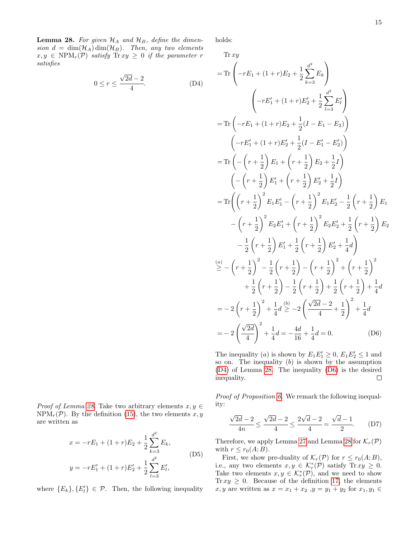<span id="page-14-0"></span>**Lemma 28.** For given  $\mathcal{H}_A$  and  $\mathcal{H}_B$ , define the dimension  $d = \dim(\mathcal{H}_A) \dim(\mathcal{H}_B)$ . Then, any two elements  $x, y \in \text{NPM}_r(\mathcal{P})$  satisfy  $\text{Tr} xy \geq 0$  if the parameter r satisfies

$$
0 \le r \le \frac{\sqrt{2d} - 2}{4}.\tag{D4}
$$

*Proof of Lemma [28.](#page-14-0)* Take two arbitrary elements  $x, y \in$  $NPM_r(\mathcal{P})$ . By the definition [\(15\)](#page-5-4), the two elements  $x, y$ are written as

$$
x = -rE_1 + (1+r)E_2 + \frac{1}{2} \sum_{k=3}^{d^2} E_k,
$$
  
\n
$$
y = -rE_1' + (1+r)E_2' + \frac{1}{2} \sum_{l=3}^{d^2} E_l',
$$
\n(D5)

where  ${E_k}, {E'_l} \in \mathcal{P}$ . Then, the following inequality

holds:

 $\text{Tr } xy$ 

<span id="page-14-1"></span>
$$
= \text{Tr}\left(-rE_1 + (1+r)E_2 + \frac{1}{2}\sum_{k=3}^{d^2} E_k\right)
$$
  

$$
\left(-rE_1' + (1+r)E_2' + \frac{1}{2}\sum_{l=3}^{d^2} E_l'\right)
$$
  

$$
= \text{Tr}\left(-rE_1 + (1+r)E_2 + \frac{1}{2}(I - E_1 - E_2)\right)
$$
  

$$
\left(-rE_1' + (1+r)E_2' + \frac{1}{2}(I - E_1' - E_2')\right)
$$
  

$$
= \text{Tr}\left(-\left(r + \frac{1}{2}\right)E_1 + \left(r + \frac{1}{2}\right)E_2 + \frac{1}{2}I\right)
$$
  

$$
\left(-\left(r + \frac{1}{2}\right)E_1' + \left(r + \frac{1}{2}\right)E_2' + \frac{1}{2}I\right)
$$
  

$$
= \text{Tr}\left(\left(r + \frac{1}{2}\right)^2 E_1 E_1' - \left(r + \frac{1}{2}\right)^2 E_1 E_2' - \frac{1}{2}\left(r + \frac{1}{2}\right)E_1
$$
  

$$
-\left(r + \frac{1}{2}\right)^2 E_2 E_1' + \left(r + \frac{1}{2}\right)^2 E_2 E_2' + \frac{1}{2}\left(r + \frac{1}{2}\right)E_2
$$
  

$$
-\frac{1}{2}\left(r + \frac{1}{2}\right)E_1' + \frac{1}{2}\left(r + \frac{1}{2}\right)E_2' + \frac{1}{4}d\right)
$$
  

$$
\geq -\left(r + \frac{1}{2}\right)^2 - \frac{1}{2}\left(r + \frac{1}{2}\right) - \left(r + \frac{1}{2}\right)^2 + \left(r + \frac{1}{2}\right)^2
$$
  

$$
+\frac{1}{2}\left(r + \frac{1}{2}\right) - \frac{1}{2}\left(r + \frac{1}{2}\right) + \frac{1}{2}\left(r + \frac{1}{2}\right) + \frac{1}{4}d
$$
  

$$
= -2\left(r + \frac{1}{2}\right)^2 + \frac{1}{4}d \geq -2\left(\frac{\sqrt{2d} - 2}{4} + \frac{1}{2}\right)^2 +
$$

<span id="page-14-2"></span>The inequality (a) is shown by  $E_1E_1' \ge 0$ ,  $E_1E_2' \le 1$  and so on. The inequality  $(b)$  is shown by the assumption [\(D4\)](#page-14-1) of Lemma [28.](#page-14-0) The inequality [\(D6\)](#page-14-2) is the desired inequality.  $\Box$ 

Proof of Proposition [6.](#page-5-6) We remark the following inequality:

$$
\frac{\sqrt{2d}-2}{4n} \le \frac{\sqrt{2d}-2}{4} \le \frac{2\sqrt{d}-2}{4} = \frac{\sqrt{d}-1}{2}.
$$
 (D7)

Therefore, we apply Lemma [27](#page-13-4) and Lemma [28](#page-14-0) for  $\mathcal{K}_r(\mathcal{P})$ with  $r \leq r_0(A;B)$ .

First, we show pre-duality of  $\mathcal{K}_r(\mathcal{P})$  for  $r \le r_0(A;B)$ , i.e., any two elements  $x, y \in \mathcal{K}_r^*(\mathcal{P})$  satisfy  $\text{Tr } xy \geq 0$ . Take two elements  $x, y \in \mathcal{K}_r^*(\mathcal{P})$ , and we need to show Tr  $xy \geq 0$ . Because of the definition [17,](#page-5-5) the elements x, y are written as  $x = x_1 + x_2$ ,  $y = y_1 + y_2$  for  $x_1, y_1 \in$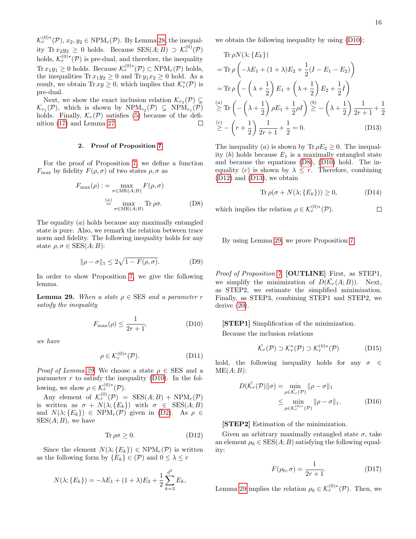$\mathcal{K}_r^{(0)*}(\mathcal{P}), x_2, y_2 \in \text{NPM}_r(\mathcal{P}).$  By Lemma [28,](#page-14-0) the inequality  $\text{Tr } x_2 y_2 \geq 0$  holds. Because  $\text{SES}(A;B) \supset \mathcal{K}_r^{(0)}(\mathcal{P})$ holds,  $\mathcal{K}_r^{(0)*}(\mathcal{P})$  is pre-dual, and therefore, the inequality  $\text{Tr } x_1 y_1 \geq 0$  holds. Because  $\mathcal{K}_r^{(0)*}(\mathcal{P}) \subset \text{NPM}_r(\mathcal{P})$  holds, the inequalities  $\text{Tr } x_1y_2 \geq 0$  and  $\text{Tr } y_1x_2 \geq 0$  hold. As a result, we obtain Tr  $xy \geq 0$ , which implies that  $\mathcal{K}_r^*(\mathcal{P})$  is pre-dual.

Next, we show the exact inclusion relation  $\mathcal{K}_{r_2}(\mathcal{P}) \subsetneq$  $\mathcal{K}_{r_1}(\mathcal{P})$ , which is shown by  $NPM_{r_2}(\mathcal{P}) \subsetneq NPM_{r_1}(\mathcal{P})$ holds. Finally,  $\mathcal{K}_r(\mathcal{P})$  satisfies [\(5\)](#page-3-0) because of the definition (17) and Lemma 27 nition [\(17\)](#page-5-5) and Lemma [27.](#page-13-4)

### 2. Proof of Proposition [7](#page-5-8)

For the proof of Proposition [7,](#page-5-8) we define a function  $F_{\text{max}}$  by fidelity  $F(\rho, \sigma)$  of two states  $\rho, \sigma$  as

$$
F_{\max}(\rho) := \max_{\sigma \in \text{ME}(A;B)} F(\rho, \sigma)
$$

$$
\stackrel{(a)}{=} \max_{\sigma \in \text{ME}(A;B)} \text{Tr } \rho \sigma.
$$
 (D8)

The equality  $(a)$  holds because any maximally entangled state is pure. Also, we remark the relation between trace norm and fidelity. The following inequality holds for any state  $\rho, \sigma \in \text{SES}(A;B)$ :

$$
\|\rho - \sigma\|_1 \le 2\sqrt{1 - F(\rho, \sigma)}.
$$
 (D9)

In order to show Proposition [7,](#page-5-8) we give the following lemma.

<span id="page-15-0"></span>**Lemma 29.** When a state  $\rho \in \text{SES}$  and a parameter r satisfy the inequality

$$
F_{\max}(\rho) \le \frac{1}{2r+1},\tag{D10}
$$

we have

$$
\rho \in \mathcal{K}_r^{(0)*}(\mathcal{P}).\tag{D11}
$$

*Proof of Lemma [29.](#page-15-0)* We choose a state  $\rho \in \text{SES}$  and a parameter  $r$  to satisfy the inequality [\(D10\)](#page-15-1). In the following, we show  $\rho \in \mathcal{K}_r^{(0)*}(\mathcal{P})$ .

Any element of  $\mathcal{K}_r^{(0)}(\mathcal{P}) = \text{SES}(A;B) + \text{NPM}_r(\mathcal{P})$ is written as  $\sigma + N(\lambda; \{E_k\})$  with  $\sigma \in \text{SES}(A; B)$ and  $N(\lambda; \{E_k\}) \in \text{NPM}_r(\mathcal{P})$  given in [\(D2\)](#page-13-0). As  $\rho \in$  $SES(A; B)$ , we have

$$
\text{Tr}\,\rho\sigma\geq 0.\tag{D12}
$$

Since the element  $N(\lambda; \{E_k\}) \in \text{NPM}_r(\mathcal{P})$  is written as the following form by  $\{E_k\} \in (\mathcal{P})$  and  $0 \leq \lambda \leq r$ 

$$
N(\lambda; \{E_k\}) = -\lambda E_1 + (1+\lambda)E_2 + \frac{1}{2}\sum_{k=3}^{d^2} E_k,
$$

we obtain the following inequality by using [\(D10\)](#page-15-1);

Tr 
$$
\rho N(\lambda; \{E_k\})
$$
  
\n= Tr  $\rho \left( -\lambda E_1 + (1 + \lambda) E_2 + \frac{1}{2} (I - E_1 - E_2) \right)$   
\n= Tr  $\rho \left( -\left( \lambda + \frac{1}{2} \right) E_1 + \left( \lambda + \frac{1}{2} \right) E_2 + \frac{1}{2} I \right)$   
\n $\stackrel{(a)}{\geq}$  Tr  $\left( -\left( \lambda + \frac{1}{2} \right) \rho E_1 + \frac{1}{2} \rho I \right) \stackrel{(b)}{\geq} -\left( \lambda + \frac{1}{2} \right) \frac{1}{2r+1} + \frac{1}{2}$   
\n $\stackrel{(c)}{\geq}$  -  $\left( r + \frac{1}{2} \right) \frac{1}{2r+1} + \frac{1}{2} = 0.$  (D13)

The inequality (a) is shown by Tr  $\rho E_2 \geq 0$ . The inequality  $(b)$  holds because  $E_1$  is a maximally entangled state and because the equations [\(D8\)](#page-15-2), [\(D10\)](#page-15-1) hold. The inequality (c) is shown by  $\lambda \leq r$ . Therefore, combining [\(D12\)](#page-15-3) and [\(D13\)](#page-15-4), we obtain

$$
\operatorname{Tr}\rho(\sigma + N(\lambda; \{E_k\})) \ge 0,\tag{D14}
$$

<span id="page-15-2"></span>which implies the relation  $\rho \in \mathcal{K}_r^{(0)*}(\mathcal{P})$ .

By using Lemma [29,](#page-15-0) we prove Proposition [7.](#page-5-8)

<span id="page-15-5"></span>Proof of Proposition [7.](#page-5-8) [OUTLINE] First, as STEP1, we simplify the minimization of  $D(\tilde{\mathcal{K}}_r(A;B))$ . Next, as STEP2, we estimate the simplified minimization. Finally, as STEP3, combining STEP1 and STEP2, we derive [\(20\)](#page-5-10).

<span id="page-15-1"></span>[STEP1] Simplification of the minimization.

Because the inclusion relations

$$
\tilde{\mathcal{K}}_r(\mathcal{P}) \supset \mathcal{K}_r^*(\mathcal{P}) \supset \mathcal{K}_r^{(0)*}(\mathcal{P})
$$
 (D15)

hold, the following inequality holds for any  $\sigma \in$  $ME(A; B)$ :

$$
D(\tilde{\mathcal{K}}_r(\mathcal{P})\|\sigma) = \min_{\rho \in \tilde{\mathcal{K}}_r(\mathcal{P})} \|\rho - \sigma\|_1
$$
  
\$\leq\$ 
$$
\min_{\rho \in \mathcal{K}_r^{(0)*}(\mathcal{P})} \|\rho - \sigma\|_1.
$$
 (D16)

### [STEP2] Estimation of the minimization.

<span id="page-15-3"></span>Given an arbitrary maximally entangled state  $\sigma$ , take an element  $\rho_0 \in \text{SES}(A;B)$  satisfying the following equality:

<span id="page-15-6"></span>
$$
F(\rho_0, \sigma) = \frac{1}{2r + 1}.\tag{D17}
$$

Lemma [29](#page-15-0) implies the relation  $\rho_0 \in \mathcal{K}_r^{(0)*}(\mathcal{P})$ . Then, we

<span id="page-15-4"></span> $\Box$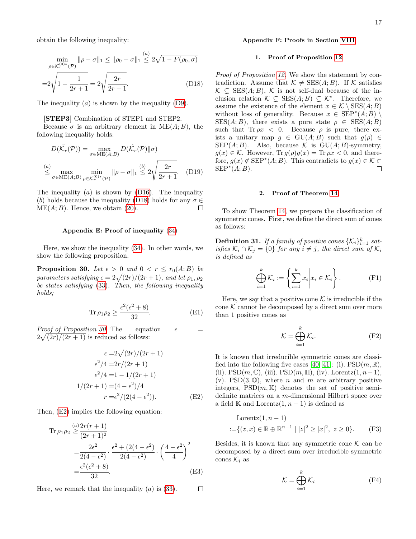obtain the following inequality:

$$
\min_{\rho \in \mathcal{K}_r^{(0)*}(\mathcal{P})} \|\rho - \sigma\|_1 \le \|\rho_0 - \sigma\|_1 \le 2\sqrt{1 - F(\rho_0, \sigma)}
$$

$$
= 2\sqrt{1 - \frac{1}{2r + 1}} = 2\sqrt{\frac{2r}{2r + 1}}.
$$
(D18)

The inequality  $(a)$  is shown by the inequality  $(D9)$ .

#### [STEP3] Combination of STEP1 and STEP2.

Because  $\sigma$  is an arbitrary element in ME(A; B), the following inequality holds:

$$
D(\tilde{\mathcal{K}}_r(\mathcal{P})) = \max_{\sigma \in \text{ME}(A;B)} D(\tilde{\mathcal{K}}_r(\mathcal{P}) \| \sigma)
$$
  

$$
\leq \max_{\sigma \in \text{ME}(A;B)} \min_{\rho \in \mathcal{K}_r^{(0)*}(\mathcal{P})} \|\rho - \sigma\|_1 \leq 2\sqrt{\frac{2r}{2r+1}}.
$$
 (D19)

The inequality  $(a)$  is shown by  $(D16)$ . The inequality (b) holds because the inequality [\(D18\)](#page-16-3) holds for any  $\sigma \in \text{MF}(A \cdot B)$ . Hence we obtain (20)  $ME(A; B)$ . Hence, we obtain  $(20)$ .

### <span id="page-16-0"></span>Appendix E: Proof of inequality [\(34\)](#page-7-4)

Here, we show the inequality [\(34\)](#page-7-4). In other words, we show the following proposition.

<span id="page-16-1"></span>**Proposition 30.** Let  $\epsilon > 0$  and  $0 < r \leq r_0(A;B)$  be parameters satisfying  $\epsilon = 2\sqrt{(2r)/(2r+1)}$ , and let  $\rho_1, \rho_2$ be states satisfying [\(33\)](#page-6-3). Then, the following inequality holds:

$$
\operatorname{Tr}\rho_1\rho_2 \ge \frac{\epsilon^2(\epsilon^2 + 8)}{32}.\tag{E1}
$$

*Proof of Proposition [30.](#page-16-1)* The equation  $\epsilon$  =  $2\sqrt{(2r)/(2r+1)}$  is reduced as follows:

$$
\epsilon = 2\sqrt{(2r)/(2r+1)}
$$

$$
\epsilon^2/4 = 2r/(2r+1)
$$

$$
\epsilon^2/4 = 1 - 1/(2r+1)
$$

$$
1/(2r+1) = (4 - \epsilon^2)/4
$$

$$
r = \epsilon^2/(2(4 - \epsilon^2)).
$$
(E2)

Then,  $(E2)$  implies the following equation:

Tr 
$$
\rho_1 \rho_2 \ge \frac{(a) 2r(r+1)}{(2r+1)^2}
$$
  
=  $\frac{2\epsilon^2}{2(4-\epsilon^2)} \cdot \frac{\epsilon^2 + (2(4-\epsilon^2)}{2(4-\epsilon^2)} \cdot \left(\frac{4-\epsilon^2}{4}\right)^2$   
=  $\frac{\epsilon^2(\epsilon^2 + 8)}{32}$ . (E3)

 $\Box$ 

Here, we remark that the inequality  $(a)$  is  $(33)$ .

### Appendix F: Proofs in Section [VIII](#page-7-1)

### <span id="page-16-2"></span>1. Proof of Proposition [12](#page-7-5)

<span id="page-16-3"></span>Proof of Proposition [12.](#page-7-5) We show the statement by contradiction. Assume that  $\mathcal{K} \neq \text{SES}(A; B)$ . If  $\mathcal K$  satisfies  $\mathcal{K} \subsetneq \text{SES}(A;B), \mathcal{K}$  is not self-dual because of the inclusion relation  $\mathcal{K} \subsetneq \text{SES}(A;B) \subsetneq \mathcal{K}^*$ . Therefore, we assume the existence of the element  $x \in \mathcal{K} \setminus \text{SES}(A;B)$ without loss of generality. Because  $x \in \text{SEP}^*(A;B) \setminus \text{STE}(A;B)$  $SES(A; B)$ , there exists a pure state  $\rho \in SES(A; B)$ such that  $\text{Tr}\rho x < 0$ . Because  $\rho$  is pure, there exists a unitary map  $g \in \text{GU}(A;B)$  such that  $g(\rho) \in$ SEP $(A; B)$ . Also, because K is GU $(A; B)$ -symmetry,  $g(x) \in \mathcal{K}$ . However,  $\text{Tr } g(\rho)g(x) = \text{Tr } \rho x < 0$ , and therefore,  $g(x) \notin \text{SEP}^*(A;B)$ . This contradicts to  $g(x) \in \mathcal{K} \subseteq$  $\text{SEP}^*(A;B).$ 

#### 2. Proof of Theorem [14](#page-7-6)

<span id="page-16-5"></span>To show Theorem [14,](#page-7-6) we prepare the classification of symmetric cones. First, we define the direct sum of cones as follows:

**Definition 31.** If a family of positive cones  $\{K_i\}_{i=1}^k$  satisfies  $\mathcal{K}_i \cap \mathcal{K}_j = \{0\}$  for any  $i \neq j$ , the direct sum of  $\mathcal{K}_i$ is defined as

$$
\bigoplus_{i=1}^{k} \mathcal{K}_i := \left\{ \sum_{i=1}^{k} x_i \middle| x_i \in \mathcal{K}_i \right\}.
$$
 (F1)

Here, we say that a positive cone  $K$  is irreducible if the cone  $K$  cannot be decomposed by a direct sum over more than 1 positive cones as

$$
\mathcal{K} = \bigoplus_{i=1}^{k} \mathcal{K}_i.
$$
 (F2)

<span id="page-16-4"></span>It is known that irreducible symmetric cones are classi-fied into the following five cases [\[40,](#page-10-3) [41\]](#page-10-5): (i).  $PSD(m, \mathbb{R})$ , (ii).  $PSD(m, \mathbb{C})$ , (iii).  $PSD(m, \mathbb{H})$ , (iv). Lorentz $(1, n-1)$ , (v). PSD(3,  $\mathbb{O}$ ), where *n* and *m* are arbitrary positive integers,  $PSD(m, K)$  denotes the set of positive semidefinite matrices on a m-dimensional Hilbert space over a field K and Lorentz $(1, n - 1)$  is defined as

Lorentz
$$
(1, n - 1)
$$
  
:={ $(z, x) \in \mathbb{R} \oplus \mathbb{R}^{n-1} | |z|^2 \ge |x|^2, z \ge 0$ }. (F3)

Besides, it is known that any symmetric cone  $K$  can be decomposed by a direct sum over irreducible symmetric cones  $\mathcal{K}_i$  as

$$
\mathcal{K} = \bigoplus_{i=1}^{k} \mathcal{K}_i \tag{F4}
$$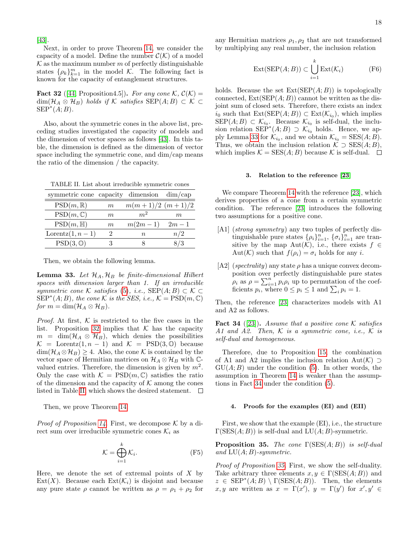[\[43\]](#page-10-13).

Next, in order to prove Theorem [14,](#page-7-6) we consider the capacity of a model. Define the number  $\mathcal{C}(\mathcal{K})$  of a model  $K$  as the maximum number m of perfectly distinguishable states  $\{\rho_k\}_{k=1}^m$  in the model K. The following fact is known for the capacity of entanglement structures.

<span id="page-17-2"></span>**Fact 32** ([\[44,](#page-10-14) Proposition4.5]). For any cone K,  $\mathcal{C}(\mathcal{K}) =$  $\dim(\mathcal{H}_A \otimes \mathcal{H}_B)$  holds if K satisfies  $\text{SEP}(A;B) \subset \mathcal{K} \subset$  $\text{SEP}^*(A;B).$ 

Also, about the symmetric cones in the above list, preceding studies investigated the capacity of models and the dimension of vector spaces as follows [\[43\]](#page-10-13). In this table, the dimension is defined as the dimension of vector space including the symmetric cone, and dim/cap means the ratio of the dimension / the capacity.

<span id="page-17-3"></span>TABLE II. List about irreducible symmetric cones

| symmetric cone capacity dimension dim/cap |       |                      |        |
|-------------------------------------------|-------|----------------------|--------|
| $PSD(m,\mathbb{R})$                       | m     | $m(m+1)/2$ $(m+1)/2$ |        |
| $PSD(m,\mathbb{C})$                       | $m\,$ | m <sup>2</sup>       | m      |
| $PSD(m, \mathbb{H})$                      | m     | $m(2m-1)$            | $2m-1$ |
| Lorentz $(1, n-1)$                        |       | $\,n$                | n/2    |
| $PSD(3,\mathbb{O})$                       |       |                      | 3/3    |

Then, we obtain the following lemma.

<span id="page-17-4"></span>**Lemma 33.** Let  $\mathcal{H}_A, \mathcal{H}_B$  be finite-dimensional Hilbert spaces with dimension larger than 1. If an irreducible symmetric cone K satisfies [\(5\)](#page-3-0), i.e.,  $\text{SEP}(A;B) \subset \mathcal{K} \subset$  $\widetilde{\mathrm{SEP}}^*(A;B)$ , the cone K is the SES, i.e.,  $\mathcal{K} = \mathrm{PSD}(m,\mathbb{C})$ for  $m = \dim(\mathcal{H}_A \otimes \mathcal{H}_B)$ .

*Proof.* At first,  $K$  is restricted to the five cases in the list. Proposition [32](#page-17-2) implies that  $K$  has the capacity  $m = \dim(\mathcal{H}_A \otimes \mathcal{H}_B)$ , which denies the possibilities  $\mathcal{K}$  = Lorentz $(1, n - 1)$  and  $\mathcal{K}$  = PSD(3, 0) because  $\dim(\mathcal{H}_A \otimes \mathcal{H}_B) \geq 4$ . Also, the cone K is contained by the vector space of Hermitian matrices on  $\mathcal{H}_A \otimes \mathcal{H}_B$  with  $\mathbb{C}$ valued entries. Therefore, the dimension is given by  $m^2$ . Only the case with  $\mathcal{K} = \text{PSD}(m, \mathbb{C})$  satisfies the ratio of the dimension and the capacity of  $K$  among the cones<br>listed in Table II, which shows the desired statement.  $\Box$ listed in Table [II,](#page-17-3) which shows the desired statement.

Then, we prove Theorem [14.](#page-7-6)

*Proof of Proposition [14.](#page-7-6)* First, we decompose  $\mathcal K$  by a direct sum over irreducible symmetric cones  $\mathcal{K}_i$  as

$$
\mathcal{K} = \bigoplus_{i=1}^{k} \mathcal{K}_i.
$$
 (F5)

Here, we denote the set of extremal points of  $X$  by  $Ext(X)$ . Because each  $Ext(\mathcal{K}_i)$  is disjoint and because any pure state  $\rho$  cannot be written as  $\rho = \rho_1 + \rho_2$  for any Hermitian matrices  $\rho_1, \rho_2$  that are not transformed by multiplying any real number, the inclusion relation

$$
Ext(SEP(A; B)) \subset \bigcup_{i=1}^{k} Ext(\mathcal{K}_{i})
$$
 (F6)

holds. Because the set  $Ext(SEP(A; B))$  is topologically connected,  $Ext(SEP(A; B))$  cannot be written as the disjoint sum of closed sets. Therefore, there exists an index  $i_0$  such that  $\text{Ext}(\text{SEP}(A;B)) \subset \text{Ext}(\mathcal{K}_{i_0}),$  which implies  $\text{SEP}(A;B) \subset \mathcal{K}_{i_0}$ . Because  $\mathcal{K}_{i_0}$  is self-dual, the inclusion relation  $\overline{\text{SEP}}^*(A;B) \supset \overline{\mathcal{K}_{i_0}}$  holds. Hence, we ap-ply Lemma [33](#page-17-4) for  $\mathcal{K}_{i_0}$ , and we obtain  $\mathcal{K}_{i_0} = \text{SES}(A; B)$ . Thus, we obtain the inclusion relation  $\mathcal{K} \supset \text{SES}(A;B)$ , which implies  $\mathcal{K} = \text{SES}(A; B)$  because  $\mathcal K$  is self-dual.  $\Box$ 

### 3. Relation to the reference [\[23\]](#page-9-6)

We compare Theorem [14](#page-7-6) with the reference [\[23\]](#page-9-6), which derives properties of a cone from a certain symmetric condition. The reference [\[23\]](#page-9-6) introduces the following two assumptions for a positive cone.

- [A1] (strong symmetry) any two tuples of perfectly distinguishable pure states  $\{\rho_i\}_{i=1}^n$ ,  $\{\sigma_i\}_{i=1}^n$  are transitive by the map Aut $(\mathcal{K})$ , i.e., there exists  $f \in$ Aut(K) such that  $f(\rho_i) = \sigma_i$  holds for any *i*.
- [A2] (spectrality) any state  $\rho$  has a unique convex decomposition over perfectly distinguishable pure states  $\rho_i$  as  $\rho = \sum_{i=1}^n p_i \rho_i$  up to permutation of the coefficients  $p_i$ , where  $0 \leq p_i \leq 1$  and  $\sum_i p_i = 1$ .

Then, the reference [\[23\]](#page-9-6) characterizes models with A1 and A2 as follows.

<span id="page-17-5"></span>**Fact 34** ([\[23\]](#page-9-6)). Assume that a positive cone K satisfies A1 and A2. Then,  $K$  is a symmetric cone, i.e.,  $K$  is self-dual and homogeneous.

Therefore, due to Proposition [15,](#page-7-7) the combination of A1 and A2 implies the inclusion relation Aut(K)  $\supset$  $GU(A; B)$  under the condition [\(5\)](#page-3-0). In other words, the assumption in Theorem [14](#page-7-6) is weaker than the assumptions in Fact [34](#page-17-5) under the condition [\(5\)](#page-3-0).

### <span id="page-17-1"></span>4. Proofs for the examples (EI) and (EII)

First, we show that the example (EI), i.e., the structure  $\Gamma(\text{SES}(A; B))$  is self-dual and  $LU(A; B)$ -symmetric.

<span id="page-17-0"></span>**Proposition 35.** The cone  $\Gamma(\text{SES}(A; B))$  is self-dual and  $LU(A;B)$ -symmetric.

Proof of Proposition [35.](#page-17-0) First, we show the self-duality. Take arbitrary three elements  $x, y \in \Gamma(\text{SES}(A; B))$  and  $z \in \text{SEP}^*(A;B) \setminus \Gamma(\text{SES}(A;B)).$  Then, the elements  $x, y$  are written as  $x = \Gamma(x')$ ,  $y = \Gamma(y')$  for  $x', y' \in$